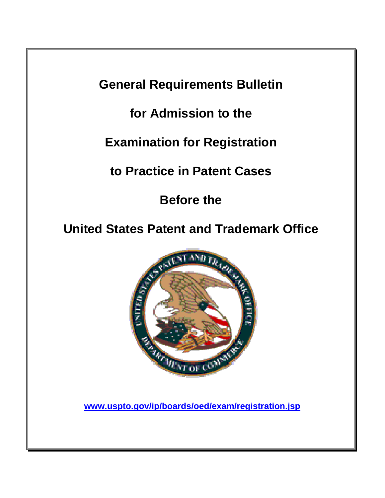**General Requirements Bulletin** 

**for Admission to the** 

**Examination for Registration** 

**to Practice in Patent Cases** 

**Before the** 

**United States Patent and Trademark Office** 



**[www.uspto.gov/ip/boards/oed/exam/registration.jsp](http://www.uspto.gov/ip/boards/oed/exam/registration.jsp)**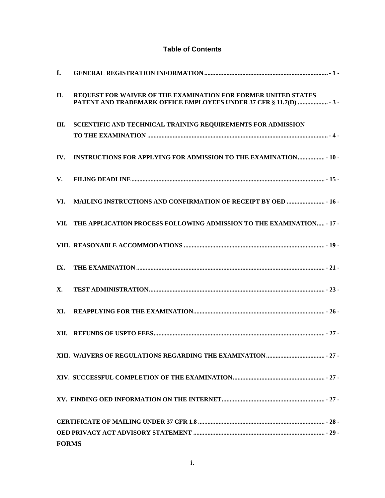# **Table of Contents**

| I.           |                                                                                                                                     |  |
|--------------|-------------------------------------------------------------------------------------------------------------------------------------|--|
| II.          | REQUEST FOR WAIVER OF THE EXAMINATION FOR FORMER UNITED STATES<br>PATENT AND TRADEMARK OFFICE EMPLOYEES UNDER 37 CFR § 11.7(D)  3 - |  |
| Ш.           | SCIENTIFIC AND TECHNICAL TRAINING REQUIREMENTS FOR ADMISSION                                                                        |  |
| IV.          | INSTRUCTIONS FOR APPLYING FOR ADMISSION TO THE EXAMINATION 10 -                                                                     |  |
| V.           |                                                                                                                                     |  |
| VI.          |                                                                                                                                     |  |
|              | VII. THE APPLICATION PROCESS FOLLOWING ADMISSION TO THE EXAMINATION - 17 -                                                          |  |
|              |                                                                                                                                     |  |
| IX.          |                                                                                                                                     |  |
| X.           |                                                                                                                                     |  |
| XI.          |                                                                                                                                     |  |
|              |                                                                                                                                     |  |
|              |                                                                                                                                     |  |
|              |                                                                                                                                     |  |
|              |                                                                                                                                     |  |
|              |                                                                                                                                     |  |
|              |                                                                                                                                     |  |
| <b>FORMS</b> |                                                                                                                                     |  |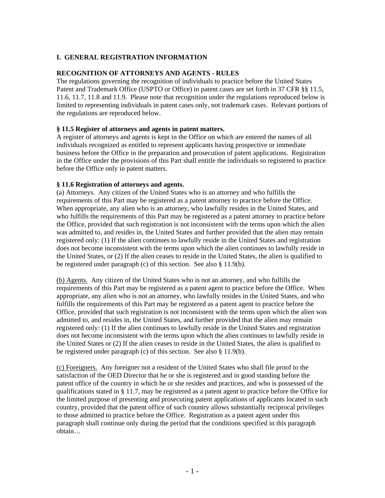# <span id="page-2-0"></span>**I. GENERAL REGISTRATION INFORMATION**

### **RECOGNITION OF ATTORNEYS AND AGENTS - RULES**

The regulations governing the recognition of individuals to practice before the United States Patent and Trademark Office (USPTO or Office) in patent cases are set forth in 37 CFR §§ 11.5, 11.6, 11.7, 11.8 and 11.9. Please note that recognition under the regulations reproduced below is limited to representing individuals in patent cases only, not trademark cases. Relevant portions of the regulations are reproduced below.

### **§ 11.5 Register of attorneys and agents in patent matters.**

A register of attorneys and agents is kept in the Office on which are entered the names of all individuals recognized as entitled to represent applicants having prospective or immediate business before the Office in the preparation and prosecution of patent applications. Registration in the Office under the provisions of this Part shall entitle the individuals so registered to practice before the Office only in patent matters.

### **§ 11.6 Registration of attorneys and agents.**

(a) Attorneys. Any citizen of the United States who is an attorney and who fulfills the requirements of this Part may be registered as a patent attorney to practice before the Office. When appropriate, any alien who is an attorney, who lawfully resides in the United States, and who fulfills the requirements of this Part may be registered as a patent attorney to practice before the Office, provided that such registration is not inconsistent with the terms upon which the alien was admitted to, and resides in, the United States and further provided that the alien may remain registered only: (1) If the alien continues to lawfully reside in the United States and registration does not become inconsistent with the terms upon which the alien continues to lawfully reside in the United States, or (2) If the alien ceases to reside in the United States, the alien is qualified to be registered under paragraph (c) of this section. See also § 11.9(b).

(b) Agents. Any citizen of the United States who is not an attorney, and who fulfills the requirements of this Part may be registered as a patent agent to practice before the Office. When appropriate, any alien who is not an attorney, who lawfully resides in the United States, and who fulfills the requirements of this Part may be registered as a patent agent to practice before the Office, provided that such registration is not inconsistent with the terms upon which the alien was admitted to, and resides in, the United States, and further provided that the alien may remain registered only: (1) If the alien continues to lawfully reside in the United States and registration does not become inconsistent with the terms upon which the alien continues to lawfully reside in the United States or (2) If the alien ceases to reside in the United States, the alien is qualified to be registered under paragraph (c) of this section. See also § 11.9(b).

(c) Foreigners. Any foreigner not a resident of the United States who shall file proof to the satisfaction of the OED Director that he or she is registered and in good standing before the patent office of the country in which he or she resides and practices, and who is possessed of the qualifications stated in § 11.7, may be registered as a patent agent to practice before the Office for the limited purpose of presenting and prosecuting patent applications of applicants located in such country, provided that the patent office of such country allows substantially reciprocal privileges to those admitted to practice before the Office. Registration as a patent agent under this paragraph shall continue only during the period that the conditions specified in this paragraph obtain…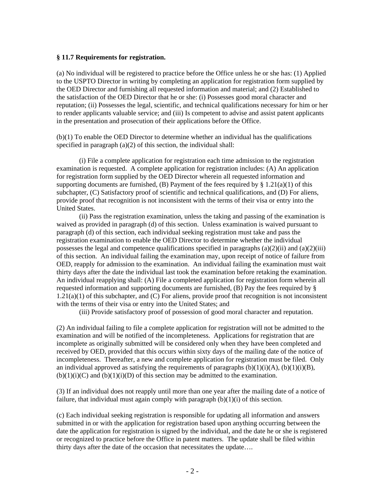#### **§ 11.7 Requirements for registration.**

(a) No individual will be registered to practice before the Office unless he or she has: (1) Applied to the USPTO Director in writing by completing an application for registration form supplied by the OED Director and furnishing all requested information and material; and (2) Established to the satisfaction of the OED Director that he or she: (i) Possesses good moral character and reputation; (ii) Possesses the legal, scientific, and technical qualifications necessary for him or her to render applicants valuable service; and (iii) Is competent to advise and assist patent applicants in the presentation and prosecution of their applications before the Office.

(b)(1) To enable the OED Director to determine whether an individual has the qualifications specified in paragraph (a)(2) of this section, the individual shall:

(i) File a complete application for registration each time admission to the registration examination is requested. A complete application for registration includes: (A) An application for registration form supplied by the OED Director wherein all requested information and supporting documents are furnished, (B) Payment of the fees required by  $\S 1.21(a)(1)$  of this subchapter, (C) Satisfactory proof of scientific and technical qualifications, and (D) For aliens, provide proof that recognition is not inconsistent with the terms of their visa or entry into the United States.

(ii) Pass the registration examination, unless the taking and passing of the examination is waived as provided in paragraph (d) of this section. Unless examination is waived pursuant to paragraph (d) of this section, each individual seeking registration must take and pass the registration examination to enable the OED Director to determine whether the individual possesses the legal and competence qualifications specified in paragraphs  $(a)(2)(ii)$  and  $(a)(2)(iii)$ of this section. An individual failing the examination may, upon receipt of notice of failure from OED, reapply for admission to the examination. An individual failing the examination must wait thirty days after the date the individual last took the examination before retaking the examination. An individual reapplying shall: (A) File a completed application for registration form wherein all requested information and supporting documents are furnished, (B) Pay the fees required by §  $1.21(a)(1)$  of this subchapter, and (C) For aliens, provide proof that recognition is not inconsistent with the terms of their visa or entry into the United States; and

(iii) Provide satisfactory proof of possession of good moral character and reputation.

(2) An individual failing to file a complete application for registration will not be admitted to the examination and will be notified of the incompleteness. Applications for registration that are incomplete as originally submitted will be considered only when they have been completed and received by OED, provided that this occurs within sixty days of the mailing date of the notice of incompleteness. Thereafter, a new and complete application for registration must be filed. Only an individual approved as satisfying the requirements of paragraphs  $(b)(1)(i)(A)$ ,  $(b)(1)(i)(B)$ ,  $(b)(1)(i)(C)$  and  $(b)(1)(i)(D)$  of this section may be admitted to the examination.

(3) If an individual does not reapply until more than one year after the mailing date of a notice of failure, that individual must again comply with paragraph  $(b)(1)(i)$  of this section.

(c) Each individual seeking registration is responsible for updating all information and answers submitted in or with the application for registration based upon anything occurring between the date the application for registration is signed by the individual, and the date he or she is registered or recognized to practice before the Office in patent matters. The update shall be filed within thirty days after the date of the occasion that necessitates the update….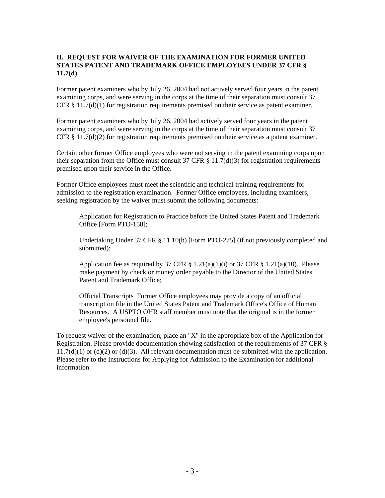### <span id="page-4-0"></span>**II. REQUEST FOR WAIVER OF THE EXAMINATION FOR FORMER UNITED STATES PATENT AND TRADEMARK OFFICE EMPLOYEES UNDER 37 CFR § 11.7(d)**

Former patent examiners who by July 26, 2004 had not actively served four years in the patent examining corps, and were serving in the corps at the time of their separation must consult 37 CFR  $\S$  11.7(d)(1) for registration requirements premised on their service as patent examiner.

Former patent examiners who by July 26, 2004 had actively served four years in the patent examining corps, and were serving in the corps at the time of their separation must consult 37 CFR  $\S 11.7(d)(2)$  for registration requirements premised on their service as a patent examiner.

Certain other former Office employees who were not serving in the patent examining corps upon their separation from the Office must consult 37 CFR  $\S$  11.7(d)(3) for registration requirements premised upon their service in the Office.

Former Office employees must meet the scientific and technical training requirements for admission to the registration examination. Former Office employees, including examiners, seeking registration by the waiver must submit the following documents:

Application for Registration to Practice before the United States Patent and Trademark Office [Form PTO-158];

Undertaking Under 37 CFR § 11.10(b) [Form PTO-275] (if not previously completed and submitted);

Application fee as required by 37 CFR § 1.21(a)(1)(i) or 37 CFR § 1.21(a)(10). Please make payment by check or money order payable to the Director of the United States Patent and Trademark Office;

Official Transcripts Former Office employees may provide a copy of an official transcript on file in the United States Patent and Trademark Office's Office of Human Resources. A USPTO OHR staff member must note that the original is in the former employee's personnel file.

To request waiver of the examination, place an "X" in the appropriate box of the Application for Registration. Please provide documentation showing satisfaction of the requirements of 37 CFR §  $11.7(d)(1)$  or (d)(2) or (d)(3). All relevant documentation must be submitted with the application. Please refer to the Instructions for Applying for Admission to the Examination for additional information.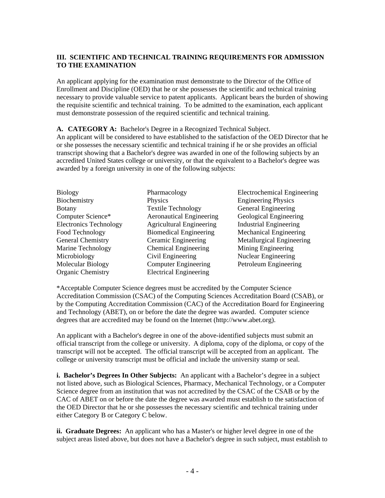### <span id="page-5-0"></span>**III. SCIENTIFIC AND TECHNICAL TRAINING REQUIREMENTS FOR ADMISSION TO THE EXAMINATION**

An applicant applying for the examination must demonstrate to the Director of the Office of Enrollment and Discipline (OED) that he or she possesses the scientific and technical training necessary to provide valuable service to patent applicants. Applicant bears the burden of showing the requisite scientific and technical training. To be admitted to the examination, each applicant must demonstrate possession of the required scientific and technical training.

**A. CATEGORY A:** Bachelor's Degree in a Recognized Technical Subject.

An applicant will be considered to have established to the satisfaction of the OED Director that he or she possesses the necessary scientific and technical training if he or she provides an official transcript showing that a Bachelor's degree was awarded in one of the following subjects by an accredited United States college or university, or that the equivalent to a Bachelor's degree was awarded by a foreign university in one of the following subjects:

| Pharmacology                    |
|---------------------------------|
| Physics                         |
| <b>Textile Technology</b>       |
| <b>Aeronautical Engineering</b> |
| <b>Agricultural Engineering</b> |
| <b>Biomedical Engineering</b>   |
| Ceramic Engineering             |
| <b>Chemical Engineering</b>     |
| Civil Engineering               |
| <b>Computer Engineering</b>     |
| <b>Electrical Engineering</b>   |
|                                 |

Electrochemical Engineering **Engineering Physics** General Engineering Geological Engineering Industrial Engineering Mechanical Engineering Metallurgical Engineering Mining Engineering Nuclear Engineering Petroleum Engineering

\*Acceptable Computer Science degrees must be accredited by the Computer Science Accreditation Commission (CSAC) of the Computing Sciences Accreditation Board (CSAB), or by the Computing Accreditation Commission (CAC) of the Accreditation Board for Engineering and Technology (ABET), on or before the date the degree was awarded. Computer science degrees that are accredited may be found on the Internet (http://www.abet.org).

An applicant with a Bachelor's degree in one of the above-identified subjects must submit an official transcript from the college or university. A diploma, copy of the diploma, or copy of the transcript will not be accepted. The official transcript will be accepted from an applicant. The college or university transcript must be official and include the university stamp or seal.

**i. Bachelor's Degrees In Other Subjects:** An applicant with a Bachelor's degree in a subject not listed above, such as Biological Sciences, Pharmacy, Mechanical Technology, or a Computer Science degree from an institution that was not accredited by the CSAC of the CSAB or by the CAC of ABET on or before the date the degree was awarded must establish to the satisfaction of the OED Director that he or she possesses the necessary scientific and technical training under either Category B or Category C below.

**ii. Graduate Degrees:** An applicant who has a Master's or higher level degree in one of the subject areas listed above, but does not have a Bachelor's degree in such subject, must establish to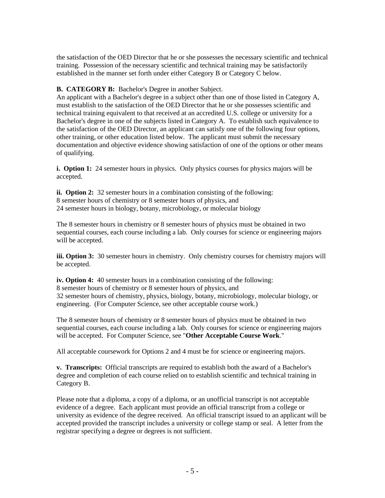the satisfaction of the OED Director that he or she possesses the necessary scientific and technical training. Possession of the necessary scientific and technical training may be satisfactorily established in the manner set forth under either Category B or Category C below.

### **B. CATEGORY B:** Bachelor's Degree in another Subject.

An applicant with a Bachelor's degree in a subject other than one of those listed in Category A, must establish to the satisfaction of the OED Director that he or she possesses scientific and technical training equivalent to that received at an accredited U.S. college or university for a Bachelor's degree in one of the subjects listed in Category A. To establish such equivalence to the satisfaction of the OED Director, an applicant can satisfy one of the following four options, other training, or other education listed below. The applicant must submit the necessary documentation and objective evidence showing satisfaction of one of the options or other means of qualifying.

**i. Option 1:** 24 semester hours in physics. Only physics courses for physics majors will be accepted.

**ii. Option 2:** 32 semester hours in a combination consisting of the following: 8 semester hours of chemistry or 8 semester hours of physics, and 24 semester hours in biology, botany, microbiology, or molecular biology

The 8 semester hours in chemistry or 8 semester hours of physics must be obtained in two sequential courses, each course including a lab. Only courses for science or engineering majors will be accepted.

**iii. Option 3:** 30 semester hours in chemistry. Only chemistry courses for chemistry majors will be accepted.

**iv. Option 4:** 40 semester hours in a combination consisting of the following: 8 semester hours of chemistry or 8 semester hours of physics, and 32 semester hours of chemistry, physics, biology, botany, microbiology, molecular biology, or engineering. (For Computer Science, see other acceptable course work.)

The 8 semester hours of chemistry or 8 semester hours of physics must be obtained in two sequential courses, each course including a lab. Only courses for science or engineering majors will be accepted. For Computer Science, see "**Other Acceptable Course Work**."

All acceptable coursework for Options 2 and 4 must be for science or engineering majors.

**v. Transcripts:** Official transcripts are required to establish both the award of a Bachelor's degree and completion of each course relied on to establish scientific and technical training in Category B.

Please note that a diploma, a copy of a diploma, or an unofficial transcript is not acceptable evidence of a degree. Each applicant must provide an official transcript from a college or university as evidence of the degree received. An official transcript issued to an applicant will be accepted provided the transcript includes a university or college stamp or seal. A letter from the registrar specifying a degree or degrees is not sufficient.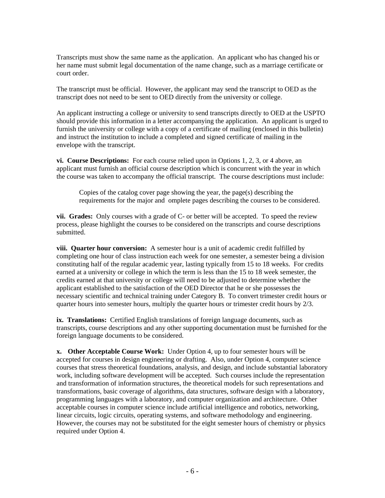Transcripts must show the same name as the application. An applicant who has changed his or her name must submit legal documentation of the name change, such as a marriage certificate or court order.

The transcript must be official. However, the applicant may send the transcript to OED as the transcript does not need to be sent to OED directly from the university or college.

An applicant instructing a college or university to send transcripts directly to OED at the USPTO should provide this information in a letter accompanying the application. An applicant is urged to furnish the university or college with a copy of a certificate of mailing (enclosed in this bulletin) and instruct the institution to include a completed and signed certificate of mailing in the envelope with the transcript.

**vi. Course Descriptions:** For each course relied upon in Options 1, 2, 3, or 4 above, an applicant must furnish an official course description which is concurrent with the year in which the course was taken to accompany the official transcript. The course descriptions must include:

Copies of the catalog cover page showing the year, the page(s) describing the requirements for the major and omplete pages describing the courses to be considered.

**vii. Grades:** Only courses with a grade of C- or better will be accepted. To speed the review process, please highlight the courses to be considered on the transcripts and course descriptions submitted.

**viii. Quarter hour conversion:** A semester hour is a unit of academic credit fulfilled by completing one hour of class instruction each week for one semester, a semester being a division constituting half of the regular academic year, lasting typically from 15 to 18 weeks. For credits earned at a university or college in which the term is less than the 15 to 18 week semester, the credits earned at that university or college will need to be adjusted to determine whether the applicant established to the satisfaction of the OED Director that he or she possesses the necessary scientific and technical training under Category B. To convert trimester credit hours or quarter hours into semester hours, multiply the quarter hours or trimester credit hours by 2/3.

**ix. Translations:** Certified English translations of foreign language documents, such as transcripts, course descriptions and any other supporting documentation must be furnished for the foreign language documents to be considered.

**x. Other Acceptable Course Work:** Under Option 4, up to four semester hours will be accepted for courses in design engineering or drafting. Also, under Option 4, computer science courses that stress theoretical foundations, analysis, and design, and include substantial laboratory work, including software development will be accepted. Such courses include the representation and transformation of information structures, the theoretical models for such representations and transformations, basic coverage of algorithms, data structures, software design with a laboratory, programming languages with a laboratory, and computer organization and architecture. Other acceptable courses in computer science include artificial intelligence and robotics, networking, linear circuits, logic circuits, operating systems, and software methodology and engineering. However, the courses may not be substituted for the eight semester hours of chemistry or physics required under Option 4.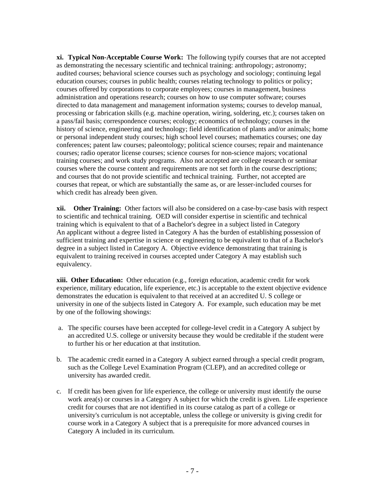**xi. Typical Non-Acceptable Course Work:** The following typify courses that are not accepted as demonstrating the necessary scientific and technical training: anthropology; astronomy; audited courses; behavioral science courses such as psychology and sociology; continuing legal education courses; courses in public health; courses relating technology to politics or policy; courses offered by corporations to corporate employees; courses in management, business administration and operations research; courses on how to use computer software; courses directed to data management and management information systems; courses to develop manual, processing or fabrication skills (e.g. machine operation, wiring, soldering, etc.); courses taken on a pass/fail basis; correspondence courses; ecology; economics of technology; courses in the history of science, engineering and technology; field identification of plants and/or animals; home or personal independent study courses; high school level courses; mathematics courses; one day conferences; patent law courses; paleontology; political science courses; repair and maintenance courses; radio operator license courses; science courses for non-science majors; vocational training courses; and work study programs. Also not accepted are college research or seminar courses where the course content and requirements are not set forth in the course descriptions; and courses that do not provide scientific and technical training. Further, not accepted are courses that repeat, or which are substantially the same as, or are lesser-included courses for which credit has already been given.

**xii. Other Training:** Other factors will also be considered on a case-by-case basis with respect to scientific and technical training. OED will consider expertise in scientific and technical training which is equivalent to that of a Bachelor's degree in a subject listed in Category An applicant without a degree listed in Category A has the burden of establishing possession of sufficient training and expertise in science or engineering to be equivalent to that of a Bachelor's degree in a subject listed in Category A. Objective evidence demonstrating that training is equivalent to training received in courses accepted under Category A may establish such equivalency.

**xiii. Other Education:** Other education (e.g., foreign education, academic credit for work experience, military education, life experience, etc.) is acceptable to the extent objective evidence demonstrates the education is equivalent to that received at an accredited U. S college or university in one of the subjects listed in Category A. For example, such education may be met by one of the following showings:

- a. The specific courses have been accepted for college-level credit in a Category A subject by an accredited U.S. college or university because they would be creditable if the student were to further his or her education at that institution.
- b. The academic credit earned in a Category A subject earned through a special credit program, such as the College Level Examination Program (CLEP), and an accredited college or university has awarded credit.
- c. If credit has been given for life experience, the college or university must identify the ourse work area(s) or courses in a Category A subject for which the credit is given. Life experience credit for courses that are not identified in its course catalog as part of a college or university's curriculum is not acceptable, unless the college or university is giving credit for course work in a Category A subject that is a prerequisite for more advanced courses in Category A included in its curriculum.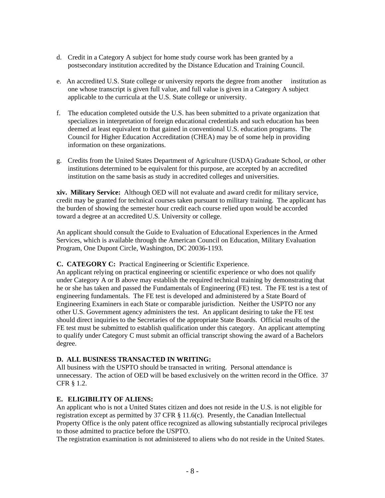- d. Credit in a Category A subject for home study course work has been granted by a postsecondary institution accredited by the Distance Education and Training Council.
- e. An accredited U.S. State college or university reports the degree from another institution as one whose transcript is given full value, and full value is given in a Category A subject applicable to the curricula at the U.S. State college or university.
- f. The education completed outside the U.S. has been submitted to a private organization that specializes in interpretation of foreign educational credentials and such education has been deemed at least equivalent to that gained in conventional U.S. education programs. The Council for Higher Education Accreditation (CHEA) may be of some help in providing information on these organizations.
- g. Credits from the United States Department of Agriculture (USDA) Graduate School, or other institutions determined to be equivalent for this purpose, are accepted by an accredited institution on the same basis as study in accredited colleges and universities.

**xiv. Military Service:** Although OED will not evaluate and award credit for military service, credit may be granted for technical courses taken pursuant to military training. The applicant has the burden of showing the semester hour credit each course relied upon would be accorded toward a degree at an accredited U.S. University or college.

An applicant should consult the Guide to Evaluation of Educational Experiences in the Armed Services, which is available through the American Council on Education, Military Evaluation Program, One Dupont Circle, Washington, DC 20036-1193.

#### **C. CATEGORY C:** Practical Engineering or Scientific Experience.

An applicant relying on practical engineering or scientific experience or who does not qualify under Category A or B above may establish the required technical training by demonstrating that he or she has taken and passed the Fundamentals of Engineering (FE) test. The FE test is a test of engineering fundamentals. The FE test is developed and administered by a State Board of Engineering Examiners in each State or comparable jurisdiction. Neither the USPTO nor any other U.S. Government agency administers the test. An applicant desiring to take the FE test should direct inquiries to the Secretaries of the appropriate State Boards. Official results of the FE test must be submitted to establish qualification under this category. An applicant attempting to qualify under Category C must submit an official transcript showing the award of a Bachelors degree.

# **D. ALL BUSINESS TRANSACTED IN WRITING:**

All business with the USPTO should be transacted in writing. Personal attendance is unnecessary. The action of OED will be based exclusively on the written record in the Office. 37 CFR § 1.2.

# **E. ELIGIBILITY OF ALIENS:**

An applicant who is not a United States citizen and does not reside in the U.S. is not eligible for registration except as permitted by 37 CFR § 11.6(c). Presently, the Canadian Intellectual Property Office is the only patent office recognized as allowing substantially reciprocal privileges to those admitted to practice before the USPTO.

The registration examination is not administered to aliens who do not reside in the United States.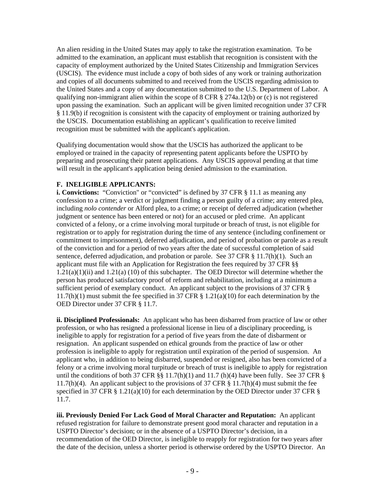An alien residing in the United States may apply to take the registration examination. To be admitted to the examination, an applicant must establish that recognition is consistent with the capacity of employment authorized by the United States Citizenship and Immigration Services (USCIS). The evidence must include a copy of both sides of any work or training authorization and copies of all documents submitted to and received from the USCIS regarding admission to the United States and a copy of any documentation submitted to the U.S. Department of Labor. A qualifying non-immigrant alien within the scope of  $8$  CFR  $\S$  274a.12(b) or (c) is not registered upon passing the examination. Such an applicant will be given limited recognition under 37 CFR § 11.9(b) if recognition is consistent with the capacity of employment or training authorized by the USCIS. Documentation establishing an applicant's qualification to receive limited recognition must be submitted with the applicant's application.

Qualifying documentation would show that the USCIS has authorized the applicant to be employed or trained in the capacity of representing patent applicants before the USPTO by preparing and prosecuting their patent applications. Any USCIS approval pending at that time will result in the applicant's application being denied admission to the examination.

# **F. INELIGIBLE APPLICANTS:**

**i. Convictions:** "Conviction" or "convicted" is defined by 37 CFR § 11.1 as meaning any confession to a crime; a verdict or judgment finding a person guilty of a crime; any entered plea, including *nolo contender* or Alford plea, to a crime; or receipt of deferred adjudication (whether judgment or sentence has been entered or not) for an accused or pled crime. An applicant convicted of a felony, or a crime involving moral turpitude or breach of trust, is not eligible for registration or to apply for registration during the time of any sentence (including confinement or commitment to imprisonment), deferred adjudication, and period of probation or parole as a result of the conviction and for a period of two years after the date of successful completion of said sentence, deferred adjudication, and probation or parole. See 37 CFR § 11.7(h)(1). Such an applicant must file with an Application for Registration the fees required by 37 CFR §§  $1.21(a)(1)(ii)$  and  $1.21(a)(10)$  of this subchapter. The OED Director will determine whether the person has produced satisfactory proof of reform and rehabilitation, including at a minimum a sufficient period of exemplary conduct. An applicant subject to the provisions of 37 CFR §  $11.7(h)(1)$  must submit the fee specified in 37 CFR § 1.21(a)(10) for each determination by the OED Director under 37 CFR § 11.7.

**ii. Disciplined Professionals:** An applicant who has been disbarred from practice of law or other profession, or who has resigned a professional license in lieu of a disciplinary proceeding, is ineligible to apply for registration for a period of five years from the date of disbarment or resignation. An applicant suspended on ethical grounds from the practice of law or other profession is ineligible to apply for registration until expiration of the period of suspension. An applicant who, in addition to being disbarred, suspended or resigned, also has been convicted of a felony or a crime involving moral turpitude or breach of trust is ineligible to apply for registration until the conditions of both 37 CFR  $\S$  11.7(h)(1) and 11.7 (h)(4) have been fully. See 37 CFR  $\S$ 11.7(h)(4). An applicant subject to the provisions of 37 CFR  $\S$  11.7(h)(4) must submit the fee specified in 37 CFR § 1.21(a)(10) for each determination by the OED Director under 37 CFR § 11.7.

**iii. Previously Denied For Lack Good of Moral Character and Reputation:** An applicant refused registration for failure to demonstrate present good moral character and reputation in a USPTO Director's decision; or in the absence of a USPTO Director's decision, in a recommendation of the OED Director, is ineligible to reapply for registration for two years after the date of the decision, unless a shorter period is otherwise ordered by the USPTO Director. An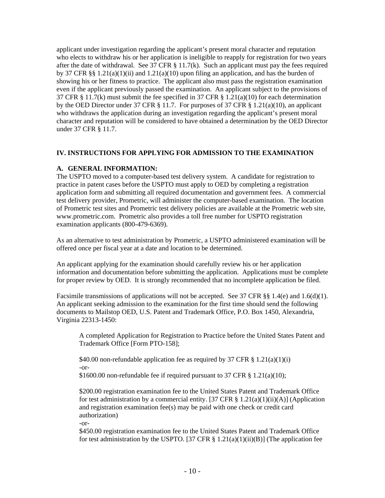applicant under investigation regarding the applicant's present moral character and reputation who elects to withdraw his or her application is ineligible to reapply for registration for two years after the date of withdrawal. See 37 CFR § 11.7(k). Such an applicant must pay the fees required by 37 CFR §§ 1.21(a)(1)(ii) and 1.21(a)(10) upon filing an application, and has the burden of showing his or her fitness to practice. The applicant also must pass the registration examination even if the applicant previously passed the examination. An applicant subject to the provisions of 37 CFR § 11.7(k) must submit the fee specified in 37 CFR § 1.21(a)(10) for each determination by the OED Director under 37 CFR  $\S 11.7$ . For purposes of 37 CFR  $\S 1.21(a)(10)$ , an applicant who withdraws the application during an investigation regarding the applicant's present moral character and reputation will be considered to have obtained a determination by the OED Director under 37 CFR § 11.7.

### <span id="page-11-0"></span>**IV. INSTRUCTIONS FOR APPLYING FOR ADMISSION TO THE EXAMINATION**

### **A. GENERAL INFORMATION:**

The USPTO moved to a computer-based test delivery system. A candidate for registration to practice in patent cases before the USPTO must apply to OED by completing a registration application form and submitting all required documentation and government fees. A commercial test delivery provider, Prometric, will administer the computer-based examination. The location of Prometric test sites and Prometric test delivery policies are available at the Prometric web site, www.prometric.com. Prometric also provides a toll free number for USPTO registration examination applicants (800-479-6369).

As an alternative to test administration by Prometric, a USPTO administered examination will be offered once per fiscal year at a date and location to be determined.

An applicant applying for the examination should carefully review his or her application information and documentation before submitting the application. Applications must be complete for proper review by OED. It is strongly recommended that no incomplete application be filed.

Facsimile transmissions of applications will not be accepted. See 37 CFR §§ 1.4(e) and 1.6(d)(1). An applicant seeking admission to the examination for the first time should send the following documents to Mailstop OED, U.S. Patent and Trademark Office, P.O. Box 1450, Alexandria, Virginia 22313-1450:

A completed Application for Registration to Practice before the United States Patent and Trademark Office [Form PTO-158];

\$40.00 non-refundable application fee as required by 37 CFR  $\S 1.21(a)(1)(i)$ -or-

\$1600.00 non-refundable fee if required pursuant to 37 CFR  $\S 1.21(a)(10)$ ;

\$200.00 registration examination fee to the United States Patent and Trademark Office for test administration by a commercial entity. [37 CFR  $\S 1.21(a)(1)(ii)(A)$ ] (Application and registration examination fee(s) may be paid with one check or credit card authorization)

-or-

\$450.00 registration examination fee to the United States Patent and Trademark Office for test administration by the USPTO. [37 CFR  $\S 1.21(a)(1)(ii)(B)$ ] (The application fee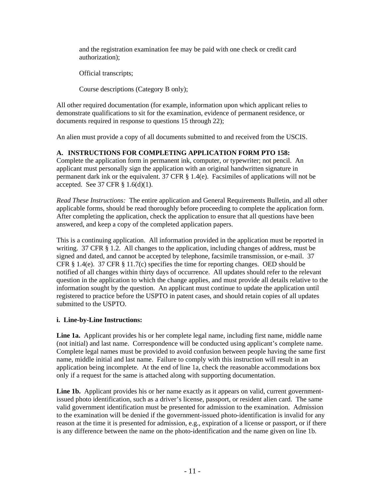and the registration examination fee may be paid with one check or credit card authorization);

Official transcripts;

Course descriptions (Category B only);

All other required documentation (for example, information upon which applicant relies to demonstrate qualifications to sit for the examination, evidence of permanent residence, or documents required in response to questions 15 through 22);

An alien must provide a copy of all documents submitted to and received from the USCIS.

# **A. INSTRUCTIONS FOR COMPLETING APPLICATION FORM PTO 158:**

Complete the application form in permanent ink, computer, or typewriter; not pencil. An applicant must personally sign the application with an original handwritten signature in permanent dark ink or the equivalent. 37 CFR  $\S$  1.4(e). Facsimiles of applications will not be accepted. See 37 CFR § 1.6(d)(1).

*Read These Instructions:* The entire application and General Requirements Bulletin, and all other applicable forms, should be read thoroughly before proceeding to complete the application form. After completing the application, check the application to ensure that all questions have been answered, and keep a copy of the completed application papers.

This is a continuing application. All information provided in the application must be reported in writing. 37 CFR § 1.2. All changes to the application, including changes of address, must be signed and dated, and cannot be accepted by telephone, facsimile transmission, or e-mail. 37 CFR § 1.4(e). 37 CFR § 11.7(c) specifies the time for reporting changes. OED should be notified of all changes within thirty days of occurrence. All updates should refer to the relevant question in the application to which the change applies, and must provide all details relative to the information sought by the question. An applicant must continue to update the application until registered to practice before the USPTO in patent cases, and should retain copies of all updates submitted to the USPTO.

# **i. Line-by-Line Instructions:**

**Line 1a.** Applicant provides his or her complete legal name, including first name, middle name (not initial) and last name. Correspondence will be conducted using applicant's complete name. Complete legal names must be provided to avoid confusion between people having the same first name, middle initial and last name. Failure to comply with this instruction will result in an application being incomplete. At the end of line 1a, check the reasonable accommodations box only if a request for the same is attached along with supporting documentation.

Line 1b. Applicant provides his or her name exactly as it appears on valid, current governmentissued photo identification, such as a driver's license, passport, or resident alien card. The same valid government identification must be presented for admission to the examination. Admission to the examination will be denied if the government-issued photo-identification is invalid for any reason at the time it is presented for admission, e.g., expiration of a license or passport, or if there is any difference between the name on the photo-identification and the name given on line 1b.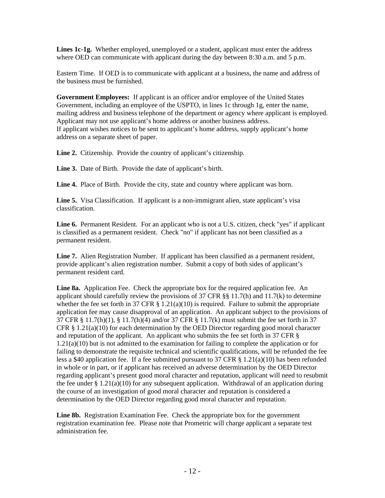Lines 1c-1g. Whether employed, unemployed or a student, applicant must enter the address where OED can communicate with applicant during the day between 8:30 a.m. and 5 p.m.

Eastern Time. If OED is to communicate with applicant at a business, the name and address of the business must be furnished.

**Government Employees:** If applicant is an officer and/or employee of the United States Government, including an employee of the USPTO, in lines 1c through 1g, enter the name, mailing address and business telephone of the department or agency where applicant is employed. Applicant may not use applicant's home address or another business address. If applicant wishes notices to be sent to applicant's home address, supply applicant's home address on a separate sheet of paper.

**Line 2.** Citizenship. Provide the country of applicant's citizenship.

**Line 3.** Date of Birth. Provide the date of applicant's birth.

**Line 4.** Place of Birth. Provide the city, state and country where applicant was born.

**Line 5.** Visa Classification. If applicant is a non-immigrant alien, state applicant's visa classification.

**Line 6.** Permanent Resident. For an applicant who is not a U.S. citizen, check "yes" if applicant is classified as a permanent resident. Check "no" if applicant has not been classified as a permanent resident.

**Line 7.** Alien Registration Number. If applicant has been classified as a permanent resident, provide applicant's alien registration number. Submit a copy of both sides of applicant's permanent resident card.

**Line 8a.** Application Fee. Check the appropriate box for the required application fee. An applicant should carefully review the provisions of 37 CFR  $\S$  11.7(h) and 11.7(k) to determine whether the fee set forth in 37 CFR  $\S$  1.21(a)(10) is required. Failure to submit the appropriate application fee may cause disapproval of an application. An applicant subject to the provisions of 37 CFR § 11.7(h)(1), § 11.7(h)(4) and/or 37 CFR § 11.7(k) must submit the fee set forth in 37 CFR  $\S 1.21(a)(10)$  for each determination by the OED Director regarding good moral character and reputation of the applicant. An applicant who submits the fee set forth in 37 CFR § 1.21(a)(10) but is not admitted to the examination for failing to complete the application or for failing to demonstrate the requisite technical and scientific qualifications, will be refunded the fee less a \$40 application fee. If a fee submitted pursuant to 37 CFR § 1.21(a)(10) has been refunded in whole or in part, or if applicant has received an adverse determination by the OED Director regarding applicant's present good moral character and reputation, applicant will need to resubmit the fee under  $\S 1.21(a)(10)$  for any subsequent application. Withdrawal of an application during the course of an investigation of good moral character and reputation is considered a determination by the OED Director regarding good moral character and reputation.

Line 8b. Registration Examination Fee. Check the appropriate box for the government registration examination fee. Please note that Prometric will charge applicant a separate test administration fee.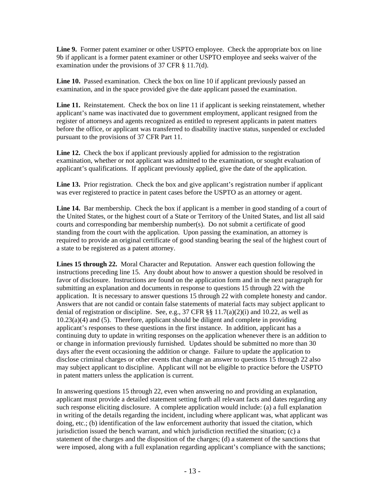**Line 9.** Former patent examiner or other USPTO employee. Check the appropriate box on line 9b if applicant is a former patent examiner or other USPTO employee and seeks waiver of the examination under the provisions of 37 CFR § 11.7(d).

Line 10. Passed examination. Check the box on line 10 if applicant previously passed an examination, and in the space provided give the date applicant passed the examination.

Line 11. Reinstatement. Check the box on line 11 if applicant is seeking reinstatement, whether applicant's name was inactivated due to government employment, applicant resigned from the register of attorneys and agents recognized as entitled to represent applicants in patent matters before the office, or applicant was transferred to disability inactive status, suspended or excluded pursuant to the provisions of 37 CFR Part 11.

**Line 12.** Check the box if applicant previously applied for admission to the registration examination, whether or not applicant was admitted to the examination, or sought evaluation of applicant's qualifications. If applicant previously applied, give the date of the application.

Line 13. Prior registration. Check the box and give applicant's registration number if applicant was ever registered to practice in patent cases before the USPTO as an attorney or agent.

Line 14. Bar membership. Check the box if applicant is a member in good standing of a court of the United States, or the highest court of a State or Territory of the United States, and list all said courts and corresponding bar membership number(s). Do not submit a certificate of good standing from the court with the application. Upon passing the examination, an attorney is required to provide an original certificate of good standing bearing the seal of the highest court of a state to be registered as a patent attorney.

**Lines 15 through 22.** Moral Character and Reputation. Answer each question following the instructions preceding line 15. Any doubt about how to answer a question should be resolved in favor of disclosure. Instructions are found on the application form and in the next paragraph for submitting an explanation and documents in response to questions 15 through 22 with the application. It is necessary to answer questions 15 through 22 with complete honesty and candor. Answers that are not candid or contain false statements of material facts may subject applicant to denial of registration or discipline. See, e.g., 37 CFR  $\S$  11.7(a)(2)(i) and 10.22, as well as 10.23(a)(4) and (5). Therefore, applicant should be diligent and complete in providing applicant's responses to these questions in the first instance. In addition, applicant has a continuing duty to update in writing responses on the application whenever there is an addition to or change in information previously furnished. Updates should be submitted no more than 30 days after the event occasioning the addition or change. Failure to update the application to disclose criminal charges or other events that change an answer to questions 15 through 22 also may subject applicant to discipline. Applicant will not be eligible to practice before the USPTO in patent matters unless the application is current.

In answering questions 15 through 22, even when answering no and providing an explanation, applicant must provide a detailed statement setting forth all relevant facts and dates regarding any such response eliciting disclosure. A complete application would include: (a) a full explanation in writing of the details regarding the incident, including where applicant was, what applicant was doing, etc.; (b) identification of the law enforcement authority that issued the citation, which jurisdiction issued the bench warrant, and which jurisdiction rectified the situation; (c) a statement of the charges and the disposition of the charges; (d) a statement of the sanctions that were imposed, along with a full explanation regarding applicant's compliance with the sanctions;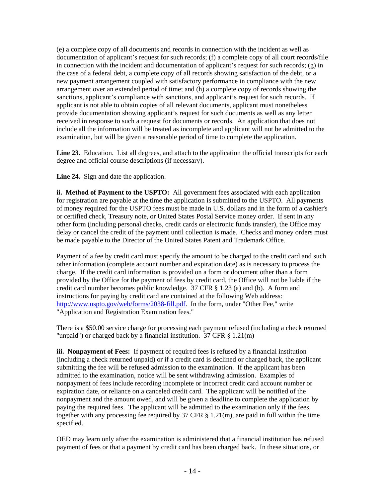(e) a complete copy of all documents and records in connection with the incident as well as documentation of applicant's request for such records; (f) a complete copy of all court records/file in connection with the incident and documentation of applicant's request for such records;  $(g)$  in the case of a federal debt, a complete copy of all records showing satisfaction of the debt, or a new payment arrangement coupled with satisfactory performance in compliance with the new arrangement over an extended period of time; and (h) a complete copy of records showing the sanctions, applicant's compliance with sanctions, and applicant's request for such records. If applicant is not able to obtain copies of all relevant documents, applicant must nonetheless provide documentation showing applicant's request for such documents as well as any letter received in response to such a request for documents or records. An application that does not include all the information will be treated as incomplete and applicant will not be admitted to the examination, but will be given a reasonable period of time to complete the application.

Line 23. Education. List all degrees, and attach to the application the official transcripts for each degree and official course descriptions (if necessary).

Line 24. Sign and date the application.

**ii. Method of Payment to the USPTO:** All government fees associated with each application for registration are payable at the time the application is submitted to the USPTO. All payments of money required for the USPTO fees must be made in U.S. dollars and in the form of a cashier's or certified check, Treasury note, or United States Postal Service money order. If sent in any other form (including personal checks, credit cards or electronic funds transfer), the Office may delay or cancel the credit of the payment until collection is made. Checks and money orders must be made payable to the Director of the United States Patent and Trademark Office.

Payment of a fee by credit card must specify the amount to be charged to the credit card and such other information (complete account number and expiration date) as is necessary to process the charge. If the credit card information is provided on a form or document other than a form provided by the Office for the payment of fees by credit card, the Office will not be liable if the credit card number becomes public knowledge. 37 CFR § 1.23 (a) and (b). A form and instructions for paying by credit card are contained at the following Web address: <http://www.uspto.gov/web/forms/2038-fill.pdf>. In the form, under "Other Fee," write "Application and Registration Examination fees."

There is a \$50.00 service charge for processing each payment refused (including a check returned "unpaid") or charged back by a financial institution. 37 CFR § 1.21(m)

**iii. Nonpayment of Fees:** If payment of required fees is refused by a financial institution (including a check returned unpaid) or if a credit card is declined or charged back, the applicant submitting the fee will be refused admission to the examination. If the applicant has been admitted to the examination, notice will be sent withdrawing admission. Examples of nonpayment of fees include recording incomplete or incorrect credit card account number or expiration date, or reliance on a canceled credit card. The applicant will be notified of the nonpayment and the amount owed, and will be given a deadline to complete the application by paying the required fees. The applicant will be admitted to the examination only if the fees, together with any processing fee required by 37 CFR § 1.21(m), are paid in full within the time specified.

OED may learn only after the examination is administered that a financial institution has refused payment of fees or that a payment by credit card has been charged back. In these situations, or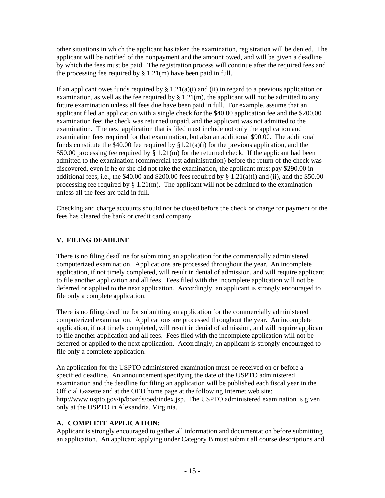other situations in which the applicant has taken the examination, registration will be denied. The applicant will be notified of the nonpayment and the amount owed, and will be given a deadline by which the fees must be paid. The registration process will continue after the required fees and the processing fee required by  $\S$  1.21(m) have been paid in full.

If an applicant owes funds required by § 1.21(a)(i) and (ii) in regard to a previous application or examination, as well as the fee required by  $\S 1.21(m)$ , the applicant will not be admitted to any future examination unless all fees due have been paid in full. For example, assume that an applicant filed an application with a single check for the \$40.00 application fee and the \$200.00 examination fee; the check was returned unpaid, and the applicant was not admitted to the examination. The next application that is filed must include not only the application and examination fees required for that examination, but also an additional \$90.00. The additional funds constitute the \$40.00 fee required by  $\S 1.21(a)(i)$  for the previous application, and the \$50.00 processing fee required by  $\S 1.21(m)$  for the returned check. If the applicant had been admitted to the examination (commercial test administration) before the return of the check was discovered, even if he or she did not take the examination, the applicant must pay \$290.00 in additional fees, i.e., the  $$40.00$  and  $$200.00$  fees required by  $§ 1.21(a)(i)$  and (ii), and the  $$50.00$ processing fee required by  $\S 1.21$ (m). The applicant will not be admitted to the examination unless all the fees are paid in full.

Checking and charge accounts should not be closed before the check or charge for payment of the fees has cleared the bank or credit card company.

# <span id="page-16-0"></span>**V. FILING DEADLINE**

There is no filing deadline for submitting an application for the commercially administered computerized examination. Applications are processed throughout the year. An incomplete application, if not timely completed, will result in denial of admission, and will require applicant to file another application and all fees. Fees filed with the incomplete application will not be deferred or applied to the next application. Accordingly, an applicant is strongly encouraged to file only a complete application.

There is no filing deadline for submitting an application for the commercially administered computerized examination. Applications are processed throughout the year. An incomplete application, if not timely completed, will result in denial of admission, and will require applicant to file another application and all fees. Fees filed with the incomplete application will not be deferred or applied to the next application. Accordingly, an applicant is strongly encouraged to file only a complete application.

An application for the USPTO administered examination must be received on or before a specified deadline. An announcement specifying the date of the USPTO administered examination and the deadline for filing an application will be published each fiscal year in the Official Gazette and at the OED home page at the following Internet web site: http://www.uspto.gov/ip/boards/oed/index.jsp. The USPTO administered examination is given only at the USPTO in Alexandria, Virginia.

# **A. COMPLETE APPLICATION:**

Applicant is strongly encouraged to gather all information and documentation before submitting an application. An applicant applying under Category B must submit all course descriptions and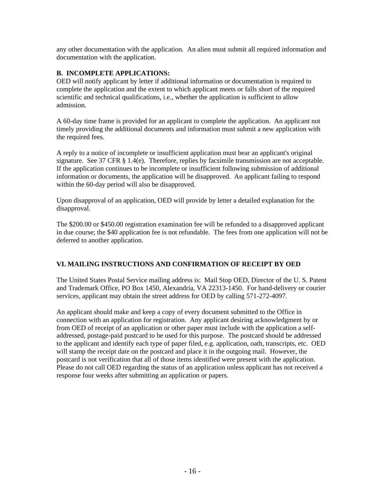any other documentation with the application. An alien must submit all required information and documentation with the application.

# **B. INCOMPLETE APPLICATIONS:**

OED will notify applicant by letter if additional information or documentation is required to complete the application and the extent to which applicant meets or falls short of the required scientific and technical qualifications, i.e., whether the application is sufficient to allow admission.

A 60-day time frame is provided for an applicant to complete the application. An applicant not timely providing the additional documents and information must submit a new application with the required fees.

A reply to a notice of incomplete or insufficient application must bear an applicant's original signature. See 37 CFR  $\S 1.4(e)$ . Therefore, replies by facsimile transmission are not acceptable. If the application continues to be incomplete or insufficient following submission of additional information or documents, the application will be disapproved. An applicant failing to respond within the 60-day period will also be disapproved.

Upon disapproval of an application, OED will provide by letter a detailed explanation for the disapproval.

The \$200.00 or \$450.00 registration examination fee will be refunded to a disapproved applicant in due course; the \$40 application fee is not refundable. The fees from one application will not be deferred to another application.

# <span id="page-17-0"></span>**VI. MAILING INSTRUCTIONS AND CONFIRMATION OF RECEIPT BY OED**

The United States Postal Service mailing address is: Mail Stop OED, Director of the U. S. Patent and Trademark Office, PO Box 1450, Alexandria, VA 22313-1450. For hand-delivery or courier services, applicant may obtain the street address for OED by calling 571-272-4097.

An applicant should make and keep a copy of every document submitted to the Office in connection with an application for registration. Any applicant desiring acknowledgment by or from OED of receipt of an application or other paper must include with the application a selfaddressed, postage-paid postcard to be used for this purpose. The postcard should be addressed to the applicant and identify each type of paper filed, e.g. application, oath, transcripts, etc. OED will stamp the receipt date on the postcard and place it in the outgoing mail. However, the postcard is not verification that all of those items identified were present with the application. Please do not call OED regarding the status of an application unless applicant has not received a response four weeks after submitting an application or papers.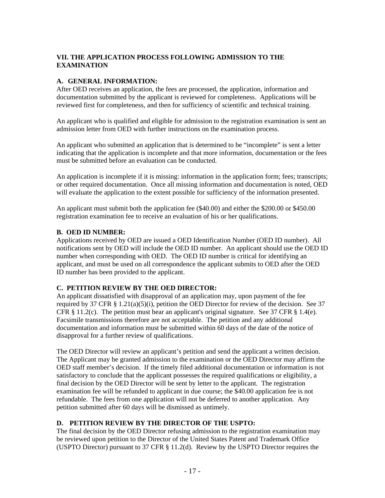# <span id="page-18-0"></span>**VII. THE APPLICATION PROCESS FOLLOWING ADMISSION TO THE EXAMINATION**

# **A. GENERAL INFORMATION:**

After OED receives an application, the fees are processed, the application, information and documentation submitted by the applicant is reviewed for completeness. Applications will be reviewed first for completeness, and then for sufficiency of scientific and technical training.

An applicant who is qualified and eligible for admission to the registration examination is sent an admission letter from OED with further instructions on the examination process.

An applicant who submitted an application that is determined to be "incomplete" is sent a letter indicating that the application is incomplete and that more information, documentation or the fees must be submitted before an evaluation can be conducted.

An application is incomplete if it is missing: information in the application form; fees; transcripts; or other required documentation. Once all missing information and documentation is noted, OED will evaluate the application to the extent possible for sufficiency of the information presented.

An applicant must submit both the application fee (\$40.00) and either the \$200.00 or \$450.00 registration examination fee to receive an evaluation of his or her qualifications.

#### **B. OED ID NUMBER:**

Applications received by OED are issued a OED Identification Number (OED ID number). All notifications sent by OED will include the OED ID number. An applicant should use the OED ID number when corresponding with OED. The OED ID number is critical for identifying an applicant, and must be used on all correspondence the applicant submits to OED after the OED ID number has been provided to the applicant.

#### **C. PETITION REVIEW BY THE OED DIRECTOR:**

An applicant dissatisfied with disapproval of an application may, upon payment of the fee required by 37 CFR § 1.21(a)(5)(i), petition the OED Director for review of the decision. See 37 CFR § 11.2(c). The petition must bear an applicant's original signature. See 37 CFR § 1.4(e). Facsimile transmissions therefore are not acceptable. The petition and any additional documentation and information must be submitted within 60 days of the date of the notice of disapproval for a further review of qualifications.

The OED Director will review an applicant's petition and send the applicant a written decision. The Applicant may be granted admission to the examination or the OED Director may affirm the OED staff member's decision. If the timely filed additional documentation or information is not satisfactory to conclude that the applicant possesses the required qualifications or eligibility, a final decision by the OED Director will be sent by letter to the applicant. The registration examination fee will be refunded to applicant in due course; the \$40.00 application fee is not refundable. The fees from one application will not be deferred to another application. Any petition submitted after 60 days will be dismissed as untimely.

# **D. PETITION REVIEW BY THE DIRECTOR OF THE USPTO:**

The final decision by the OED Director refusing admission to the registration examination may be reviewed upon petition to the Director of the United States Patent and Trademark Office (USPTO Director) pursuant to 37 CFR § 11.2(d). Review by the USPTO Director requires the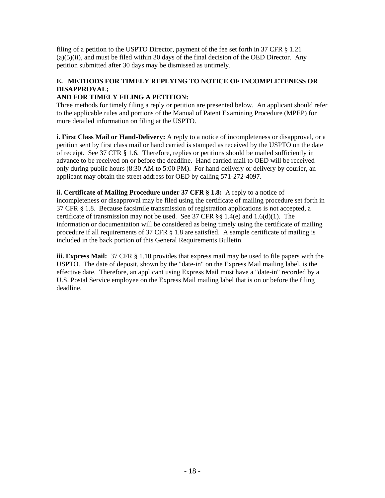filing of a petition to the USPTO Director, payment of the fee set forth in 37 CFR § 1.21 (a)(5)(ii), and must be filed within 30 days of the final decision of the OED Director. Any petition submitted after 30 days may be dismissed as untimely.

# **E. METHODS FOR TIMELY REPLYING TO NOTICE OF INCOMPLETENESS OR DISAPPROVAL;**

### **AND FOR TIMELY FILING A PETITION:**

Three methods for timely filing a reply or petition are presented below. An applicant should refer to the applicable rules and portions of the Manual of Patent Examining Procedure (MPEP) for more detailed information on filing at the USPTO.

**i. First Class Mail or Hand-Delivery:** A reply to a notice of incompleteness or disapproval, or a petition sent by first class mail or hand carried is stamped as received by the USPTO on the date of receipt. See 37 CFR § 1.6. Therefore, replies or petitions should be mailed sufficiently in advance to be received on or before the deadline. Hand carried mail to OED will be received only during public hours (8:30 AM to 5:00 PM). For hand-delivery or delivery by courier, an applicant may obtain the street address for OED by calling 571-272-4097.

**ii. Certificate of Mailing Procedure under 37 CFR § 1.8:** A reply to a notice of incompleteness or disapproval may be filed using the certificate of mailing procedure set forth in 37 CFR § 1.8. Because facsimile transmission of registration applications is not accepted, a certificate of transmission may not be used. See 37 CFR  $\S$ § 1.4(e) and 1.6(d)(1). The information or documentation will be considered as being timely using the certificate of mailing procedure if all requirements of 37 CFR § 1.8 are satisfied. A sample certificate of mailing is included in the back portion of this General Requirements Bulletin.

**iii. Express Mail:** 37 CFR § 1.10 provides that express mail may be used to file papers with the USPTO. The date of deposit, shown by the "date-in" on the Express Mail mailing label, is the effective date. Therefore, an applicant using Express Mail must have a "date-in" recorded by a U.S. Postal Service employee on the Express Mail mailing label that is on or before the filing deadline.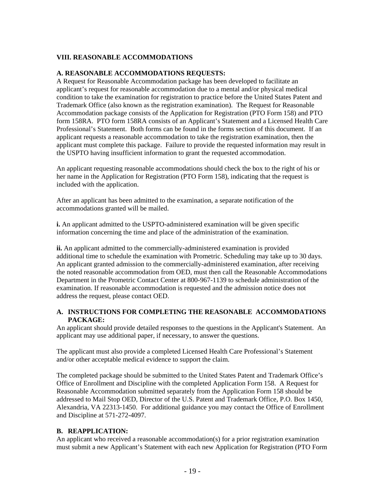# <span id="page-20-0"></span>**VIII. REASONABLE ACCOMMODATIONS**

### **A. REASONABLE ACCOMMODATIONS REQUESTS:**

A Request for Reasonable Accommodation package has been developed to facilitate an applicant's request for reasonable accommodation due to a mental and/or physical medical condition to take the examination for registration to practice before the United States Patent and Trademark Office (also known as the registration examination). The Request for Reasonable Accommodation package consists of the Application for Registration (PTO Form 158) and PTO form 158RA. PTO form 158RA consists of an Applicant's Statement and a Licensed Health Care Professional's Statement. Both forms can be found in the forms section of this document. If an applicant requests a reasonable accommodation to take the registration examination, then the applicant must complete this package. Failure to provide the requested information may result in the USPTO having insufficient information to grant the requested accommodation.

An applicant requesting reasonable accommodations should check the box to the right of his or her name in the Application for Registration (PTO Form 158), indicating that the request is included with the application.

After an applicant has been admitted to the examination, a separate notification of the accommodations granted will be mailed.

**i.** An applicant admitted to the USPTO-administered examination will be given specific information concerning the time and place of the administration of the examination.

**ii.** An applicant admitted to the commercially-administered examination is provided additional time to schedule the examination with Prometric. Scheduling may take up to 30 days. An applicant granted admission to the commercially-administered examination, after receiving the noted reasonable accommodation from OED, must then call the Reasonable Accommodations Department in the Prometric Contact Center at 800-967-1139 to schedule administration of the examination. If reasonable accommodation is requested and the admission notice does not address the request, please contact OED.

### **A. INSTRUCTIONS FOR COMPLETING THE REASONABLE ACCOMMODATIONS PACKAGE:**

An applicant should provide detailed responses to the questions in the Applicant's Statement. An applicant may use additional paper, if necessary, to answer the questions.

The applicant must also provide a completed Licensed Health Care Professional's Statement and/or other acceptable medical evidence to support the claim.

The completed package should be submitted to the United States Patent and Trademark Office's Office of Enrollment and Discipline with the completed Application Form 158. A Request for Reasonable Accommodation submitted separately from the Application Form 158 should be addressed to Mail Stop OED, Director of the U.S. Patent and Trademark Office, P.O. Box 1450, Alexandria, VA 22313-1450. For additional guidance you may contact the Office of Enrollment and Discipline at 571-272-4097.

# **B. REAPPLICATION:**

An applicant who received a reasonable accommodation(s) for a prior registration examination must submit a new Applicant's Statement with each new Application for Registration (PTO Form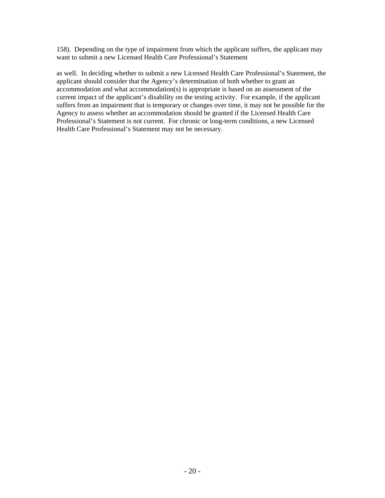158). Depending on the type of impairment from which the applicant suffers, the applicant may want to submit a new Licensed Health Care Professional's Statement

as well. In deciding whether to submit a new Licensed Health Care Professional's Statement, the applicant should consider that the Agency's determination of both whether to grant an accommodation and what accommodation(s) is appropriate is based on an assessment of the current impact of the applicant's disability on the testing activity. For example, if the applicant suffers from an impairment that is temporary or changes over time, it may not be possible for the Agency to assess whether an accommodation should be granted if the Licensed Health Care Professional's Statement is not current. For chronic or long-term conditions, a new Licensed Health Care Professional's Statement may not be necessary.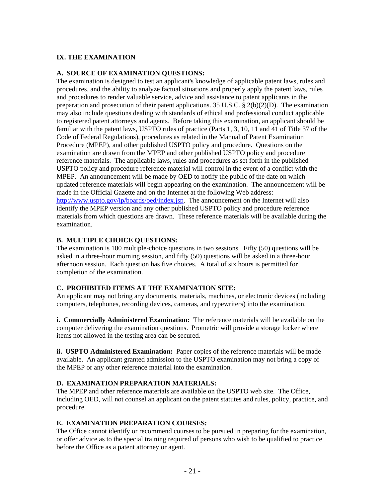# <span id="page-22-0"></span>**IX. THE EXAMINATION**

#### **A. SOURCE OF EXAMINATION QUESTIONS:**

The examination is designed to test an applicant's knowledge of applicable patent laws, rules and procedures, and the ability to analyze factual situations and properly apply the patent laws, rules and procedures to render valuable service, advice and assistance to patent applicants in the preparation and prosecution of their patent applications. 35 U.S.C. §  $2(b)(2)(D)$ . The examination may also include questions dealing with standards of ethical and professional conduct applicable to registered patent attorneys and agents. Before taking this examination, an applicant should be familiar with the patent laws, USPTO rules of practice (Parts 1, 3, 10, 11 and 41 of Title 37 of the Code of Federal Regulations), procedures as related in the Manual of Patent Examination Procedure (MPEP), and other published USPTO policy and procedure. Questions on the examination are drawn from the MPEP and other published USPTO policy and procedure reference materials. The applicable laws, rules and procedures as set forth in the published USPTO policy and procedure reference material will control in the event of a conflict with the MPEP. An announcement will be made by OED to notify the public of the date on which updated reference materials will begin appearing on the examination. The announcement will be made in the Official Gazette and on the Internet at the following Web address: <http://www.uspto.gov/ip/boards/oed/index.jsp>. The announcement on the Internet will also identify the MPEP version and any other published USPTO policy and procedure reference materials from which questions are drawn. These reference materials will be available during the examination.

### **B. MULTIPLE CHOICE QUESTIONS:**

The examination is 100 multiple-choice questions in two sessions. Fifty (50) questions will be asked in a three-hour morning session, and fifty (50) questions will be asked in a three-hour afternoon session. Each question has five choices. A total of six hours is permitted for completion of the examination.

#### **C. PROHIBITED ITEMS AT THE EXAMINATION SITE:**

An applicant may not bring any documents, materials, machines, or electronic devices (including computers, telephones, recording devices, cameras, and typewriters) into the examination.

**i. Commercially Administered Examination:** The reference materials will be available on the computer delivering the examination questions. Prometric will provide a storage locker where items not allowed in the testing area can be secured.

**ii. USPTO Administered Examination:** Paper copies of the reference materials will be made available. An applicant granted admission to the USPTO examination may not bring a copy of the MPEP or any other reference material into the examination.

#### **D. EXAMINATION PREPARATION MATERIALS:**

The MPEP and other reference materials are available on the USPTO web site. The Office, including OED, will not counsel an applicant on the patent statutes and rules, policy, practice, and procedure.

#### **E. EXAMINATION PREPARATION COURSES:**

The Office cannot identify or recommend courses to be pursued in preparing for the examination, or offer advice as to the special training required of persons who wish to be qualified to practice before the Office as a patent attorney or agent.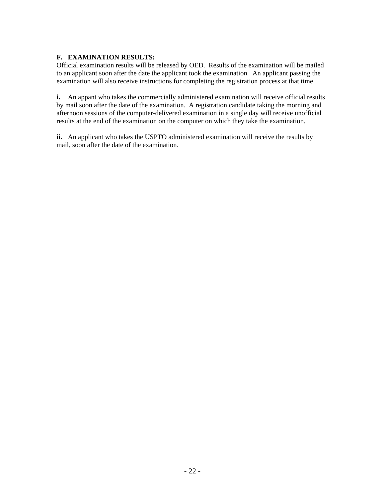# **F. EXAMINATION RESULTS:**

Official examination results will be released by OED. Results of the examination will be mailed to an applicant soon after the date the applicant took the examination. An applicant passing the examination will also receive instructions for completing the registration process at that time

**i.** An appant who takes the commercially administered examination will receive official results by mail soon after the date of the examination. A registration candidate taking the morning and afternoon sessions of the computer-delivered examination in a single day will receive unofficial results at the end of the examination on the computer on which they take the examination.

**ii.** An applicant who takes the USPTO administered examination will receive the results by mail, soon after the date of the examination.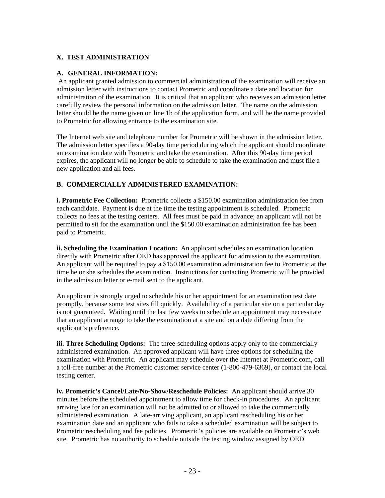# <span id="page-24-0"></span>**X. TEST ADMINISTRATION**

### **A. GENERAL INFORMATION:**

 An applicant granted admission to commercial administration of the examination will receive an admission letter with instructions to contact Prometric and coordinate a date and location for administration of the examination. It is critical that an applicant who receives an admission letter carefully review the personal information on the admission letter. The name on the admission letter should be the name given on line 1b of the application form, and will be the name provided to Prometric for allowing entrance to the examination site.

The Internet web site and telephone number for Prometric will be shown in the admission letter. The admission letter specifies a 90-day time period during which the applicant should coordinate an examination date with Prometric and take the examination. After this 90-day time period expires, the applicant will no longer be able to schedule to take the examination and must file a new application and all fees.

# **B. COMMERCIALLY ADMINISTERED EXAMINATION:**

**i. Prometric Fee Collection:** Prometric collects a \$150.00 examination administration fee from each candidate. Payment is due at the time the testing appointment is scheduled. Prometric collects no fees at the testing centers. All fees must be paid in advance; an applicant will not be permitted to sit for the examination until the \$150.00 examination administration fee has been paid to Prometric.

**ii. Scheduling the Examination Location:** An applicant schedules an examination location directly with Prometric after OED has approved the applicant for admission to the examination. An applicant will be required to pay a \$150.00 examination administration fee to Prometric at the time he or she schedules the examination. Instructions for contacting Prometric will be provided in the admission letter or e-mail sent to the applicant.

An applicant is strongly urged to schedule his or her appointment for an examination test date promptly, because some test sites fill quickly. Availability of a particular site on a particular day is not guaranteed. Waiting until the last few weeks to schedule an appointment may necessitate that an applicant arrange to take the examination at a site and on a date differing from the applicant's preference.

**iii. Three Scheduling Options:** The three-scheduling options apply only to the commercially administered examination. An approved applicant will have three options for scheduling the examination with Prometric. An applicant may schedule over the Internet at Prometric.com, call a toll-free number at the Prometric customer service center (1-800-479-6369), or contact the local testing center.

**iv. Prometric's Cancel/Late/No-Show/Reschedule Policies:** An applicant should arrive 30 minutes before the scheduled appointment to allow time for check-in procedures. An applicant arriving late for an examination will not be admitted to or allowed to take the commercially administered examination. A late-arriving applicant, an applicant rescheduling his or her examination date and an applicant who fails to take a scheduled examination will be subject to Prometric rescheduling and fee policies. Prometric's policies are available on Prometric's web site. Prometric has no authority to schedule outside the testing window assigned by OED.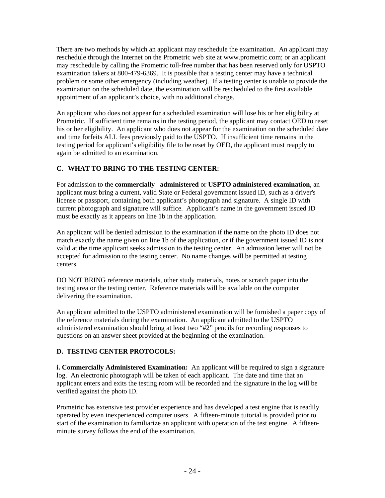There are two methods by which an applicant may reschedule the examination. An applicant may reschedule through the Internet on the Prometric web site at www.prometric.com; or an applicant may reschedule by calling the Prometric toll-free number that has been reserved only for USPTO examination takers at 800-479-6369. It is possible that a testing center may have a technical problem or some other emergency (including weather). If a testing center is unable to provide the examination on the scheduled date, the examination will be rescheduled to the first available appointment of an applicant's choice, with no additional charge.

An applicant who does not appear for a scheduled examination will lose his or her eligibility at Prometric. If sufficient time remains in the testing period, the applicant may contact OED to reset his or her eligibility. An applicant who does not appear for the examination on the scheduled date and time forfeits ALL fees previously paid to the USPTO. If insufficient time remains in the testing period for applicant's eligibility file to be reset by OED, the applicant must reapply to again be admitted to an examination.

# **C. WHAT TO BRING TO THE TESTING CENTER:**

For admission to the **commercially administered** or **USPTO administered examination**, an applicant must bring a current, valid State or Federal government issued ID, such as a driver's license or passport, containing both applicant's photograph and signature. A single ID with current photograph and signature will suffice. Applicant's name in the government issued ID must be exactly as it appears on line 1b in the application.

An applicant will be denied admission to the examination if the name on the photo ID does not match exactly the name given on line 1b of the application, or if the government issued ID is not valid at the time applicant seeks admission to the testing center. An admission letter will not be accepted for admission to the testing center. No name changes will be permitted at testing centers.

DO NOT BRING reference materials, other study materials, notes or scratch paper into the testing area or the testing center. Reference materials will be available on the computer delivering the examination.

An applicant admitted to the USPTO administered examination will be furnished a paper copy of the reference materials during the examination. An applicant admitted to the USPTO administered examination should bring at least two "#2" pencils for recording responses to questions on an answer sheet provided at the beginning of the examination.

# **D. TESTING CENTER PROTOCOLS:**

**i. Commercially Administered Examination:** An applicant will be required to sign a signature log. An electronic photograph will be taken of each applicant. The date and time that an applicant enters and exits the testing room will be recorded and the signature in the log will be verified against the photo ID.

Prometric has extensive test provider experience and has developed a test engine that is readily operated by even inexperienced computer users. A fifteen-minute tutorial is provided prior to start of the examination to familiarize an applicant with operation of the test engine. A fifteenminute survey follows the end of the examination.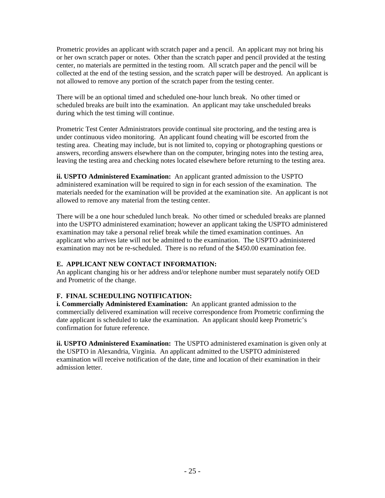Prometric provides an applicant with scratch paper and a pencil. An applicant may not bring his or her own scratch paper or notes. Other than the scratch paper and pencil provided at the testing center, no materials are permitted in the testing room. All scratch paper and the pencil will be collected at the end of the testing session, and the scratch paper will be destroyed. An applicant is not allowed to remove any portion of the scratch paper from the testing center.

There will be an optional timed and scheduled one-hour lunch break. No other timed or scheduled breaks are built into the examination. An applicant may take unscheduled breaks during which the test timing will continue.

Prometric Test Center Administrators provide continual site proctoring, and the testing area is under continuous video monitoring. An applicant found cheating will be escorted from the testing area. Cheating may include, but is not limited to, copying or photographing questions or answers, recording answers elsewhere than on the computer, bringing notes into the testing area, leaving the testing area and checking notes located elsewhere before returning to the testing area.

**ii. USPTO Administered Examination:** An applicant granted admission to the USPTO administered examination will be required to sign in for each session of the examination. The materials needed for the examination will be provided at the examination site. An applicant is not allowed to remove any material from the testing center.

There will be a one hour scheduled lunch break. No other timed or scheduled breaks are planned into the USPTO administered examination; however an applicant taking the USPTO administered examination may take a personal relief break while the timed examination continues. An applicant who arrives late will not be admitted to the examination. The USPTO administered examination may not be re-scheduled. There is no refund of the \$450.00 examination fee.

# **E. APPLICANT NEW CONTACT INFORMATION:**

An applicant changing his or her address and/or telephone number must separately notify OED and Prometric of the change.

# **F. FINAL SCHEDULING NOTIFICATION:**

**i. Commercially Administered Examination:** An applicant granted admission to the commercially delivered examination will receive correspondence from Prometric confirming the date applicant is scheduled to take the examination. An applicant should keep Prometric's confirmation for future reference.

**ii. USPTO Administered Examination:** The USPTO administered examination is given only at the USPTO in Alexandria, Virginia. An applicant admitted to the USPTO administered examination will receive notification of the date, time and location of their examination in their admission letter.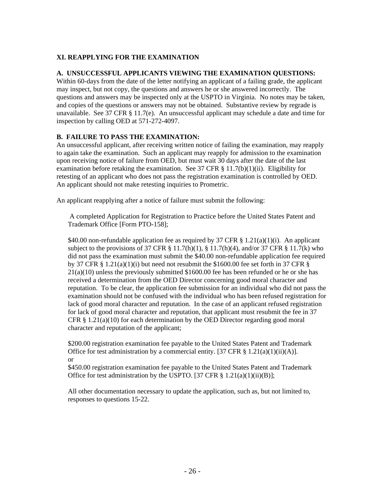# <span id="page-27-0"></span>**XI. REAPPLYING FOR THE EXAMINATION**

### **A. UNSUCCESSFUL APPLICANTS VIEWING THE EXAMINATION QUESTIONS:**

Within 60-days from the date of the letter notifying an applicant of a failing grade, the applicant may inspect, but not copy, the questions and answers he or she answered incorrectly. The questions and answers may be inspected only at the USPTO in Virginia. No notes may be taken, and copies of the questions or answers may not be obtained. Substantive review by regrade is unavailable. See 37 CFR  $\S 11.7(e)$ . An unsuccessful applicant may schedule a date and time for inspection by calling OED at 571-272-4097.

# **B. FAILURE TO PASS THE EXAMINATION:**

An unsuccessful applicant, after receiving written notice of failing the examination, may reapply to again take the examination. Such an applicant may reapply for admission to the examination upon receiving notice of failure from OED, but must wait 30 days after the date of the last examination before retaking the examination. See 37 CFR  $\S$  11.7(b)(1)(ii). Eligibility for retesting of an applicant who does not pass the registration examination is controlled by OED. An applicant should not make retesting inquiries to Prometric.

An applicant reapplying after a notice of failure must submit the following:

 A completed Application for Registration to Practice before the United States Patent and Trademark Office [Form PTO-158];

\$40.00 non-refundable application fee as required by 37 CFR  $\S$  1.21(a)(1)(i). An applicant subject to the provisions of 37 CFR § 11.7(h)(1), § 11.7(h)(4), and/or 37 CFR § 11.7(k) who did not pass the examination must submit the \$40.00 non-refundable application fee required by 37 CFR  $\S$  1.21(a)(1)(i) but need not resubmit the \$1600.00 fee set forth in 37 CFR  $\S$ 21(a)(10) unless the previously submitted \$1600.00 fee has been refunded or he or she has received a determination from the OED Director concerning good moral character and reputation. To be clear, the application fee submission for an individual who did not pass the examination should not be confused with the individual who has been refused registration for lack of good moral character and reputation. In the case of an applicant refused registration for lack of good moral character and reputation, that applicant must resubmit the fee in 37 CFR  $\S 1.21(a)(10)$  for each determination by the OED Director regarding good moral character and reputation of the applicant;

\$200.00 registration examination fee payable to the United States Patent and Trademark Office for test administration by a commercial entity. [37 CFR  $\S 1.21(a)(1)(ii)(A)$ ]. or

\$450.00 registration examination fee payable to the United States Patent and Trademark Office for test administration by the USPTO. [37 CFR  $\S$  1.21(a)(1)(ii)(B)];

All other documentation necessary to update the application, such as, but not limited to, responses to questions 15-22.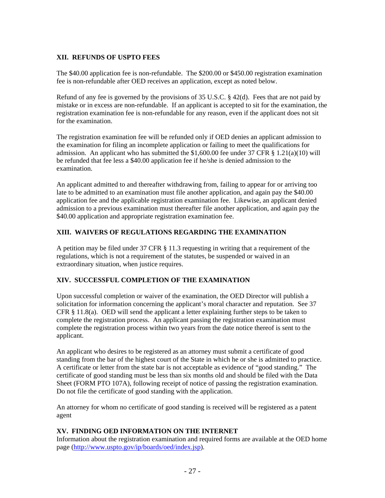# <span id="page-28-0"></span>**XII. REFUNDS OF USPTO FEES**

The \$40.00 application fee is non-refundable. The \$200.00 or \$450.00 registration examination fee is non-refundable after OED receives an application, except as noted below.

Refund of any fee is governed by the provisions of  $35 \text{ U.S.C.}$  §  $42(d)$ . Fees that are not paid by mistake or in excess are non-refundable. If an applicant is accepted to sit for the examination, the registration examination fee is non-refundable for any reason, even if the applicant does not sit for the examination.

The registration examination fee will be refunded only if OED denies an applicant admission to the examination for filing an incomplete application or failing to meet the qualifications for admission. An applicant who has submitted the \$1,600.00 fee under 37 CFR  $\S 1.21(a)(10)$  will be refunded that fee less a \$40.00 application fee if he/she is denied admission to the examination.

An applicant admitted to and thereafter withdrawing from, failing to appear for or arriving too late to be admitted to an examination must file another application, and again pay the \$40.00 application fee and the applicable registration examination fee. Likewise, an applicant denied admission to a previous examination must thereafter file another application, and again pay the \$40.00 application and appropriate registration examination fee.

# <span id="page-28-1"></span>**XIII. WAIVERS OF REGULATIONS REGARDING THE EXAMINATION**

A petition may be filed under 37 CFR § 11.3 requesting in writing that a requirement of the regulations, which is not a requirement of the statutes, be suspended or waived in an extraordinary situation, when justice requires.

# <span id="page-28-2"></span>**XIV. SUCCESSFUL COMPLETION OF THE EXAMINATION**

Upon successful completion or waiver of the examination, the OED Director will publish a solicitation for information concerning the applicant's moral character and reputation. See 37 CFR  $\S$  11.8(a). OED will send the applicant a letter explaining further steps to be taken to complete the registration process. An applicant passing the registration examination must complete the registration process within two years from the date notice thereof is sent to the applicant.

An applicant who desires to be registered as an attorney must submit a certificate of good standing from the bar of the highest court of the State in which he or she is admitted to practice. A certificate or letter from the state bar is not acceptable as evidence of "good standing." The certificate of good standing must be less than six months old and should be filed with the Data Sheet (FORM PTO 107A), following receipt of notice of passing the registration examination. Do not file the certificate of good standing with the application.

An attorney for whom no certificate of good standing is received will be registered as a patent agent

# <span id="page-28-3"></span>**XV. FINDING OED INFORMATION ON THE INTERNET**

Information about the registration examination and required forms are available at the OED home page [\(http://www.uspto.gov/ip/boards/oed/index.jsp](http://www.uspto.gov/ip/boards/oed/index.jsp)).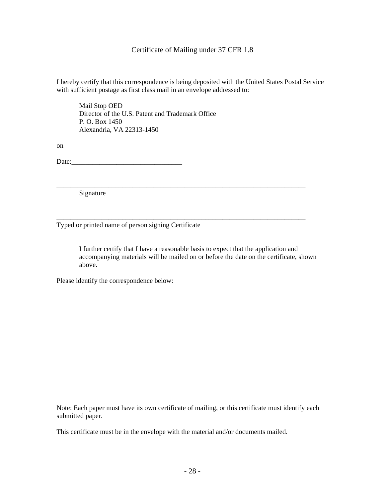### Certificate of Mailing under 37 CFR 1.8

<span id="page-29-0"></span>I hereby certify that this correspondence is being deposited with the United States Postal Service with sufficient postage as first class mail in an envelope addressed to:

\_\_\_\_\_\_\_\_\_\_\_\_\_\_\_\_\_\_\_\_\_\_\_\_\_\_\_\_\_\_\_\_\_\_\_\_\_\_\_\_\_\_\_\_\_\_\_\_\_\_\_\_\_\_\_\_\_\_\_\_\_\_\_\_\_\_\_\_\_\_\_\_

\_\_\_\_\_\_\_\_\_\_\_\_\_\_\_\_\_\_\_\_\_\_\_\_\_\_\_\_\_\_\_\_\_\_\_\_\_\_\_\_\_\_\_\_\_\_\_\_\_\_\_\_\_\_\_\_\_\_\_\_\_\_\_\_\_\_\_\_\_\_\_\_

Mail Stop OED Director of the U.S. Patent and Trademark Office P. O. Box 1450 Alexandria, VA 22313-1450

on

Date:\_\_\_\_\_\_\_\_\_\_\_\_\_\_\_\_\_\_\_\_\_\_\_\_\_\_\_\_\_\_\_\_

Signature

Typed or printed name of person signing Certificate

I further certify that I have a reasonable basis to expect that the application and accompanying materials will be mailed on or before the date on the certificate, shown above.

Please identify the correspondence below:

Note: Each paper must have its own certificate of mailing, or this certificate must identify each submitted paper.

This certificate must be in the envelope with the material and/or documents mailed.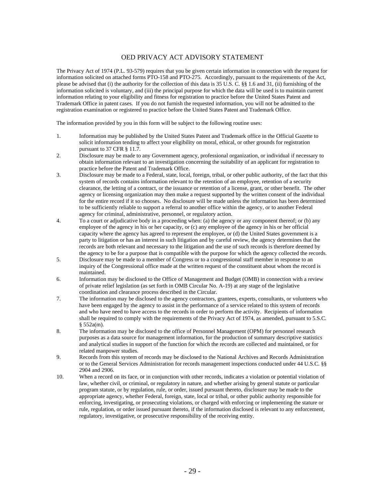### OED PRIVACY ACT ADVISORY STATEMENT

<span id="page-30-0"></span>The Privacy Act of 1974 (P.L. 93-579) requires that you be given certain information in connection with the request for information solicited on attached forms PTO-158 and PTO-275. Accordingly, pursuant to the requirements of the Act, please be advised that (i) the authority for the collection of this data is  $35 \text{ U.S. C. }$ §§ 1.6 and  $31$ , (ii) furnishing of the information solicited is voluntary, and (iii) the principal purpose for which the data will be used is to maintain current information relating to your eligibility and fitness for registration to practice before the United States Patent and Trademark Office in patent cases. If you do not furnish the requested information, you will not be admitted to the registration examination or registered to practice before the United States Patent and Trademark Office.

The information provided by you in this form will be subject to the following routine uses:

- 1. Information may be published by the United States Patent and Trademark office in the Official Gazette to solicit information tending to affect your eligibility on moral, ethical, or other grounds for registration pursuant to 37 CFR § 11.7.
- 2. Disclosure may be made to any Government agency, professional organization, or individual if necessary to obtain information relevant to an investigation concerning the suitability of an applicant for registration to practice before the Patent and Trademark Office.
- 3. Disclosure may be made to a Federal, state, local, foreign, tribal, or other public authority, of the fact that this system of records contains information relevant to the retention of an employee, retention of a security clearance, the letting of a contract, or the issuance or retention of a license, grant, or other benefit. The other agency or licensing organization may then make a request supported by the written consent of the individual for the entire record if it so chooses. No disclosure will be made unless the information has been determined to be sufficiently reliable to support a referral to another office within the agency, or to another Federal agency for criminal, administrative, personnel, or regulatory action.
- 4. To a court or adjudicative body in a proceeding when: (a) the agency or any component thereof; or (b) any employee of the agency in his or her capacity, or (c) any employee of the agency in his or her official capacity where the agency has agreed to represent the employee, or (d) the United States government is a party to litigation or has an interest in such litigation and by careful review, the agency determines that the records are both relevant and necessary to the litigation and the use of such records is therefore deemed by the agency to be for a purpose that is compatible with the purpose for which the agency collected the records.
- 5. Disclosure may be made to a member of Congress or to a congressional staff member in response to an inquiry of the Congressional office made at the written request of the constituent about whom the record is maintained.
- 6. Information may be disclosed to the Office of Management and Budget (OMB) in connection with a review of private relief legislation (as set forth in OMB Circular No. A-19) at any stage of the legislative coordination and clearance process described in the Circular.
- 7. The information may be disclosed to the agency contractors, grantees, experts, consultants, or volunteers who have been engaged by the agency to assist in the performance of a service related to this system of records and who have need to have access to the records in order to perform the activity. Recipients of information shall be required to comply with the requirements of the Privacy Act of 1974, as amended, pursuant to 5.S.C. § 552a(m).
- 8. The information may be disclosed to the office of Personnel Management (OPM) for personnel research purposes as a data source for management information, for the production of summary descriptive statistics and analytical studies in support of the function for which the records are collected and maintained, or for related manpower studies.
- 9. Records from this system of records may be disclosed to the National Archives and Records Administration or to the General Services Administration for records management inspections conducted under 44 U.S.C. §§ 2904 and 2906.
- 10. When a record on its face, or in conjunction with other records, indicates a violation or potential violation of law, whether civil, or criminal, or regulatory in nature, and whether arising by general statute or particular program statute, or by regulation, rule, or order, issued pursuant thereto, disclosure may be made to the appropriate agency, whether Federal, foreign, state, local or tribal, or other public authority responsible for enforcing, investigating, or prosecuting violations, or charged with enforcing or implementing the stature or rule, regulation, or order issued pursuant thereto, if the information disclosed is relevant to any enforcement, regulatory, investigative, or prosecutive responsibility of the receiving entity.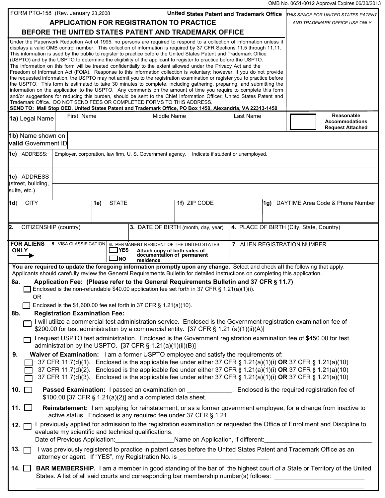OMB No. 0651-0012 Approval Expires 06/30/2013

| FORM PTO-158 (Rev. January 23,2008)                                     |                                                                       |                     |                                                                                                                                                                                                                                                            | United States Patent and Trademark Office                                                                                                                                                                                                                                                                                                                                                                                                                                                                                                                                                                                                                                                                                                                                                                                                                                                                                                                                                                                                                                                                                                                                                                                                                                                                                                                                                                                                                                                                                                                                                                                                                                                                                                                                                                                                                                                               |                                          |      | THIS SPACE FOR UNITED STATES PATENT                                                                                         |
|-------------------------------------------------------------------------|-----------------------------------------------------------------------|---------------------|------------------------------------------------------------------------------------------------------------------------------------------------------------------------------------------------------------------------------------------------------------|---------------------------------------------------------------------------------------------------------------------------------------------------------------------------------------------------------------------------------------------------------------------------------------------------------------------------------------------------------------------------------------------------------------------------------------------------------------------------------------------------------------------------------------------------------------------------------------------------------------------------------------------------------------------------------------------------------------------------------------------------------------------------------------------------------------------------------------------------------------------------------------------------------------------------------------------------------------------------------------------------------------------------------------------------------------------------------------------------------------------------------------------------------------------------------------------------------------------------------------------------------------------------------------------------------------------------------------------------------------------------------------------------------------------------------------------------------------------------------------------------------------------------------------------------------------------------------------------------------------------------------------------------------------------------------------------------------------------------------------------------------------------------------------------------------------------------------------------------------------------------------------------------------|------------------------------------------|------|-----------------------------------------------------------------------------------------------------------------------------|
|                                                                         |                                                                       |                     | <b>APPLICATION FOR REGISTRATION TO PRACTICE</b>                                                                                                                                                                                                            |                                                                                                                                                                                                                                                                                                                                                                                                                                                                                                                                                                                                                                                                                                                                                                                                                                                                                                                                                                                                                                                                                                                                                                                                                                                                                                                                                                                                                                                                                                                                                                                                                                                                                                                                                                                                                                                                                                         |                                          |      | AND TRADEMARK OFFICE USE ONLY                                                                                               |
|                                                                         |                                                                       |                     |                                                                                                                                                                                                                                                            | BEFORE THE UNITED STATES PATENT AND TRADEMARK OFFICE                                                                                                                                                                                                                                                                                                                                                                                                                                                                                                                                                                                                                                                                                                                                                                                                                                                                                                                                                                                                                                                                                                                                                                                                                                                                                                                                                                                                                                                                                                                                                                                                                                                                                                                                                                                                                                                    |                                          |      |                                                                                                                             |
|                                                                         |                                                                       |                     | Trademark Office. DO NOT SEND FEES OR COMPLETED FORMS TO THIS ADDRESS.                                                                                                                                                                                     | Under the Paperwork Reduction Act of 1995, no persons are required to respond to a collection of information unless it<br>displays a valid OMB control number. This collection of information is required by 37 CFR Sections 11.5 through 11.11.<br>This information is used by the public to register to practice before the United States Patent and Trademark Office<br>(USPTO) and by the USPTO to determine the eligibility of the applicant to register to practice before the USPTO.<br>The information on this form will be treated confidentially to the extent allowed under the Privacy Act and the<br>Freedom of Information Act (FOIA). Response to this information collection is voluntary; however, if you do not provide<br>the requested information, the USPTO may not admit you to the registration examination or register you to practice before<br>the USPTO. This form is estimated to take 30 minutes to complete, including gathering, preparing, and submitting the<br>information on the application to the USPTO. Any comments on the amount of time you require to complete this form<br>and/or suggestions for reducing this burden, should be sent to the Chief Information Officer, United States Patent and<br>SEND TO: Mail Stop OED, United States Patent and Trademark Office, PO Box 1450, Alexandria, VA 22313-1450                                                                                                                                                                                                                                                                                                                                                                                                                                                                                                                                              |                                          |      |                                                                                                                             |
| 1a) Legal Name                                                          | First Name                                                            |                     | Middle Name                                                                                                                                                                                                                                                |                                                                                                                                                                                                                                                                                                                                                                                                                                                                                                                                                                                                                                                                                                                                                                                                                                                                                                                                                                                                                                                                                                                                                                                                                                                                                                                                                                                                                                                                                                                                                                                                                                                                                                                                                                                                                                                                                                         | Last Name                                |      | <b>Reasonable</b><br><b>Accommodations</b><br><b>Request Attached</b>                                                       |
| 1b) Name shown on<br>valid Government ID                                |                                                                       |                     |                                                                                                                                                                                                                                                            |                                                                                                                                                                                                                                                                                                                                                                                                                                                                                                                                                                                                                                                                                                                                                                                                                                                                                                                                                                                                                                                                                                                                                                                                                                                                                                                                                                                                                                                                                                                                                                                                                                                                                                                                                                                                                                                                                                         |                                          |      |                                                                                                                             |
| 1c) ADDRESS:                                                            |                                                                       |                     |                                                                                                                                                                                                                                                            | Employer, corporation, law firm, U. S. Government agency. Indicate if student or unemployed.                                                                                                                                                                                                                                                                                                                                                                                                                                                                                                                                                                                                                                                                                                                                                                                                                                                                                                                                                                                                                                                                                                                                                                                                                                                                                                                                                                                                                                                                                                                                                                                                                                                                                                                                                                                                            |                                          |      |                                                                                                                             |
| 1c) ADDRESS<br>(street, building,                                       |                                                                       |                     |                                                                                                                                                                                                                                                            |                                                                                                                                                                                                                                                                                                                                                                                                                                                                                                                                                                                                                                                                                                                                                                                                                                                                                                                                                                                                                                                                                                                                                                                                                                                                                                                                                                                                                                                                                                                                                                                                                                                                                                                                                                                                                                                                                                         |                                          |      |                                                                                                                             |
| suite, etc.)                                                            |                                                                       |                     |                                                                                                                                                                                                                                                            |                                                                                                                                                                                                                                                                                                                                                                                                                                                                                                                                                                                                                                                                                                                                                                                                                                                                                                                                                                                                                                                                                                                                                                                                                                                                                                                                                                                                                                                                                                                                                                                                                                                                                                                                                                                                                                                                                                         |                                          |      |                                                                                                                             |
| 1d)<br><b>CITY</b>                                                      |                                                                       | <b>STATE</b><br>1e) |                                                                                                                                                                                                                                                            | 1f) ZIP CODE                                                                                                                                                                                                                                                                                                                                                                                                                                                                                                                                                                                                                                                                                                                                                                                                                                                                                                                                                                                                                                                                                                                                                                                                                                                                                                                                                                                                                                                                                                                                                                                                                                                                                                                                                                                                                                                                                            |                                          | 1g). | DAYTIME Area Code & Phone Number                                                                                            |
| $\overline{2}$ .<br>CITIZENSHIP (country)                               |                                                                       |                     |                                                                                                                                                                                                                                                            | 3. DATE OF BIRTH (month, day, year)                                                                                                                                                                                                                                                                                                                                                                                                                                                                                                                                                                                                                                                                                                                                                                                                                                                                                                                                                                                                                                                                                                                                                                                                                                                                                                                                                                                                                                                                                                                                                                                                                                                                                                                                                                                                                                                                     | 4. PLACE OF BIRTH (City, State, Country) |      |                                                                                                                             |
| <b>FOR ALIENS</b><br><b>ONLY</b>                                        |                                                                       | YES<br>טא∟          | Attach copy of both sides of<br>documentation of permanent<br>residence                                                                                                                                                                                    | 5. VISA CLASSIFICATION   6. PERMANENT RESIDENT OF THE UNITED STATES                                                                                                                                                                                                                                                                                                                                                                                                                                                                                                                                                                                                                                                                                                                                                                                                                                                                                                                                                                                                                                                                                                                                                                                                                                                                                                                                                                                                                                                                                                                                                                                                                                                                                                                                                                                                                                     | 7. ALIEN REGISTRATION NUMBER             |      |                                                                                                                             |
| 8a.<br><b>OR</b><br>8b.<br>9.<br>10. $\Box$<br>11. $\Box$<br>13. $\Box$ | <b>Registration Examination Fee:</b><br>Date of Previous Application: |                     | Enclosed is the \$1,600.00 fee set forth in 37 CFR $\S$ 1.21(a)(10).<br>administration by the USPTO. [37 CFR § 1.21(a)(1)(ii)(B)]<br>$$100.00$ [37 CFR $§$ 1.21(a)(2)] and a completed data sheet.<br>evaluate my scientific and technical qualifications. | You are required to update the foregoing information promptly upon any change. Select and check all the following that apply.<br>Applicants should carefully review the General Requirements Bulletin for detailed instructions on completing this application.<br>Application Fee: (Please refer to the General Requirements Bulletin and 37 CFR § 11.7)<br>Enclosed is the non-refundable \$40.00 application fee set forth in 37 CFR § 1.21(a)(1)(i).<br>I will utilize a commercial test administration service. Enclosed is the Government registration examination fee of<br>\$200.00 for test administration by a commercial entity. [37 CFR § 1.21 (a)(1)(ii)(A)]<br>I request USPTO test administration. Enclosed is the Government registration examination fee of \$450.00 for test<br>Waiver of Examination: I am a former USPTO employee and satisfy the requirements of:<br>37 CFR 11.7(d)(1). Enclosed is the applicable fee under either 37 CFR § 1.21(a)(1)(i) OR 37 CFR § 1.21(a)(10)<br>37 CFR 11.7(d)(2). Enclosed is the applicable fee under either 37 CFR § 1.21(a)(1)(i) OR 37 CFR § 1.21(a)(10)<br>37 CFR 11.7(d)(3). Enclosed is the applicable fee under either 37 CFR § 1.21(a)(1)(i) OR 37 CFR § 1.21(a)(10)<br>Passed Examination: I passed an examination on _____________. Enclosed is the required registration fee of<br>Reinstatement: I am applying for reinstatement, or as a former government employee, for a change from inactive to<br>active status. Enclosed is any required fee under 37 CFR § 1.21.<br>12.     previously applied for admission to the registration examination or requested the Office of Enrollment and Discipline to<br>Name on Application, if different:<br>I was previously registered to practice in patent cases before the United States Patent and Trademark Office as an<br>attorney or agent. If "YES", my Registration No. is |                                          |      |                                                                                                                             |
| 14. ∐                                                                   |                                                                       |                     |                                                                                                                                                                                                                                                            | States. A list of all said courts and corresponding bar membership number(s) follows:                                                                                                                                                                                                                                                                                                                                                                                                                                                                                                                                                                                                                                                                                                                                                                                                                                                                                                                                                                                                                                                                                                                                                                                                                                                                                                                                                                                                                                                                                                                                                                                                                                                                                                                                                                                                                   |                                          |      | <b>BAR MEMBERSHIP.</b> I am a member in good standing of the bar of the highest court of a State or Territory of the United |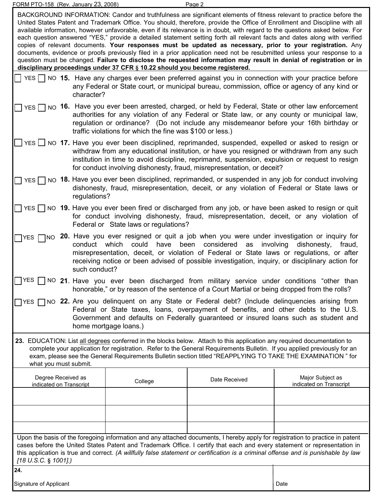FORM PTO-158 (Rev. January 23, 2008) Page 2

| disciplinary proceedings under 37 CFR § 10.22 should you become registered.                                                                                                                                                                                                                                                                                                                                                        |                                                                                                                                                                                                                                                                                                                                                                                                                   |                                                                                                                                                                                                                                                                                                                                                                               | BACKGROUND INFORMATION: Candor and truthfulness are significant elements of fitness relevant to practice before the<br>United States Patent and Trademark Office. You should, therefore, provide the Office of Enrollment and Discipline with all<br>available information, however unfavorable, even if its relevance is in doubt, with regard to the questions asked below. For<br>each question answered "YES," provide a detailed statement setting forth all relevant facts and dates along with verified<br>copies of relevant documents. Your responses must be updated as necessary, prior to your registration. Any<br>documents, evidence or proofs previously filed in a prior application need not be resubmitted unless your response to a<br>question must be changed. Failure to disclose the requested information may result in denial of registration or in |  |  |  |
|------------------------------------------------------------------------------------------------------------------------------------------------------------------------------------------------------------------------------------------------------------------------------------------------------------------------------------------------------------------------------------------------------------------------------------|-------------------------------------------------------------------------------------------------------------------------------------------------------------------------------------------------------------------------------------------------------------------------------------------------------------------------------------------------------------------------------------------------------------------|-------------------------------------------------------------------------------------------------------------------------------------------------------------------------------------------------------------------------------------------------------------------------------------------------------------------------------------------------------------------------------|-------------------------------------------------------------------------------------------------------------------------------------------------------------------------------------------------------------------------------------------------------------------------------------------------------------------------------------------------------------------------------------------------------------------------------------------------------------------------------------------------------------------------------------------------------------------------------------------------------------------------------------------------------------------------------------------------------------------------------------------------------------------------------------------------------------------------------------------------------------------------------|--|--|--|
| character?                                                                                                                                                                                                                                                                                                                                                                                                                         |                                                                                                                                                                                                                                                                                                                                                                                                                   | $YES \cap NO$ 15. Have any charges ever been preferred against you in connection with your practice before<br>any Federal or State court, or municipal bureau, commission, office or agency of any kind or                                                                                                                                                                    |                                                                                                                                                                                                                                                                                                                                                                                                                                                                                                                                                                                                                                                                                                                                                                                                                                                                               |  |  |  |
| T YES T NO 16. Have you ever been arrested, charged, or held by Federal, State or other law enforcement                                                                                                                                                                                                                                                                                                                            | traffic violations for which the fine was \$100 or less.)                                                                                                                                                                                                                                                                                                                                                         | authorities for any violation of any Federal or State law, or any county or municipal law,<br>regulation or ordinance? (Do not include any misdemeanor before your 16th birthday or                                                                                                                                                                                           |                                                                                                                                                                                                                                                                                                                                                                                                                                                                                                                                                                                                                                                                                                                                                                                                                                                                               |  |  |  |
|                                                                                                                                                                                                                                                                                                                                                                                                                                    |                                                                                                                                                                                                                                                                                                                                                                                                                   | YES I NO 17. Have you ever been disciplined, reprimanded, suspended, expelled or asked to resign or<br>withdraw from any educational institution, or have you resigned or withdrawn from any such<br>institution in time to avoid discipline, reprimand, suspension, expulsion or request to resign<br>for conduct involving dishonesty, fraud, misrepresentation, or deceit? |                                                                                                                                                                                                                                                                                                                                                                                                                                                                                                                                                                                                                                                                                                                                                                                                                                                                               |  |  |  |
| regulations?                                                                                                                                                                                                                                                                                                                                                                                                                       |                                                                                                                                                                                                                                                                                                                                                                                                                   | $YES \cap NO$ 18. Have you ever been disciplined, reprimanded, or suspended in any job for conduct involving<br>dishonesty, fraud, misrepresentation, deceit, or any violation of Federal or State laws or                                                                                                                                                                    |                                                                                                                                                                                                                                                                                                                                                                                                                                                                                                                                                                                                                                                                                                                                                                                                                                                                               |  |  |  |
|                                                                                                                                                                                                                                                                                                                                                                                                                                    | Federal or State laws or regulations?                                                                                                                                                                                                                                                                                                                                                                             | YES \\ NO 19. Have you ever been fired or discharged from any job, or have been asked to resign or quit<br>for conduct involving dishonesty, fraud, misrepresentation, deceit, or any violation of                                                                                                                                                                            |                                                                                                                                                                                                                                                                                                                                                                                                                                                                                                                                                                                                                                                                                                                                                                                                                                                                               |  |  |  |
|                                                                                                                                                                                                                                                                                                                                                                                                                                    | $\Box$ YES $\Box$ NO 20. Have you ever resigned or quit a job when you were under investigation or inquiry for<br>have been considered as involving<br>conduct which could<br>dishonesty, fraud,<br>misrepresentation, deceit, or violation of Federal or State laws or regulations, or after<br>receiving notice or been advised of possible investigation, inquiry, or disciplinary action for<br>such conduct? |                                                                                                                                                                                                                                                                                                                                                                               |                                                                                                                                                                                                                                                                                                                                                                                                                                                                                                                                                                                                                                                                                                                                                                                                                                                                               |  |  |  |
| YES                                                                                                                                                                                                                                                                                                                                                                                                                                |                                                                                                                                                                                                                                                                                                                                                                                                                   | NO 21. Have you ever been discharged from military service under conditions "other than<br>honorable," or by reason of the sentence of a Court Martial or being dropped from the rolls?                                                                                                                                                                                       |                                                                                                                                                                                                                                                                                                                                                                                                                                                                                                                                                                                                                                                                                                                                                                                                                                                                               |  |  |  |
|                                                                                                                                                                                                                                                                                                                                                                                                                                    | TYES TINO 22. Are you delinquent on any State or Federal debt? (Include delinquencies arising from<br>Federal or State taxes, loans, overpayment of benefits, and other debts to the U.S.<br>Government and defaults on Federally guaranteed or insured loans such as student and<br>home mortgage loans.)                                                                                                        |                                                                                                                                                                                                                                                                                                                                                                               |                                                                                                                                                                                                                                                                                                                                                                                                                                                                                                                                                                                                                                                                                                                                                                                                                                                                               |  |  |  |
| 23. EDUCATION: List all degrees conferred in the blocks below. Attach to this application any required documentation to<br>what you must submit.                                                                                                                                                                                                                                                                                   |                                                                                                                                                                                                                                                                                                                                                                                                                   | complete your application for registration. Refer to the General Requirements Bulletin. If you applied previously for an<br>exam, please see the General Requirements Bulletin section titled "REAPPLYING TO TAKE THE EXAMINATION" for                                                                                                                                        |                                                                                                                                                                                                                                                                                                                                                                                                                                                                                                                                                                                                                                                                                                                                                                                                                                                                               |  |  |  |
| Major Subject as<br>Degree Received as<br>Date Received<br>College<br>indicated on Transcript<br>indicated on Transcript                                                                                                                                                                                                                                                                                                           |                                                                                                                                                                                                                                                                                                                                                                                                                   |                                                                                                                                                                                                                                                                                                                                                                               |                                                                                                                                                                                                                                                                                                                                                                                                                                                                                                                                                                                                                                                                                                                                                                                                                                                                               |  |  |  |
|                                                                                                                                                                                                                                                                                                                                                                                                                                    |                                                                                                                                                                                                                                                                                                                                                                                                                   |                                                                                                                                                                                                                                                                                                                                                                               |                                                                                                                                                                                                                                                                                                                                                                                                                                                                                                                                                                                                                                                                                                                                                                                                                                                                               |  |  |  |
|                                                                                                                                                                                                                                                                                                                                                                                                                                    |                                                                                                                                                                                                                                                                                                                                                                                                                   |                                                                                                                                                                                                                                                                                                                                                                               |                                                                                                                                                                                                                                                                                                                                                                                                                                                                                                                                                                                                                                                                                                                                                                                                                                                                               |  |  |  |
| Upon the basis of the foregoing information and any attached documents, I hereby apply for registration to practice in patent<br>cases before the United States Patent and Trademark Office. I certify that each and every statement or representation in<br>this application is true and correct. (A willfully false statement or certification is a criminal offense and is punishable by law<br>$[18 \text{ U.S.C. }$ § 1001].) |                                                                                                                                                                                                                                                                                                                                                                                                                   |                                                                                                                                                                                                                                                                                                                                                                               |                                                                                                                                                                                                                                                                                                                                                                                                                                                                                                                                                                                                                                                                                                                                                                                                                                                                               |  |  |  |
| 24.<br>Signature of Applicant                                                                                                                                                                                                                                                                                                                                                                                                      |                                                                                                                                                                                                                                                                                                                                                                                                                   |                                                                                                                                                                                                                                                                                                                                                                               | Date                                                                                                                                                                                                                                                                                                                                                                                                                                                                                                                                                                                                                                                                                                                                                                                                                                                                          |  |  |  |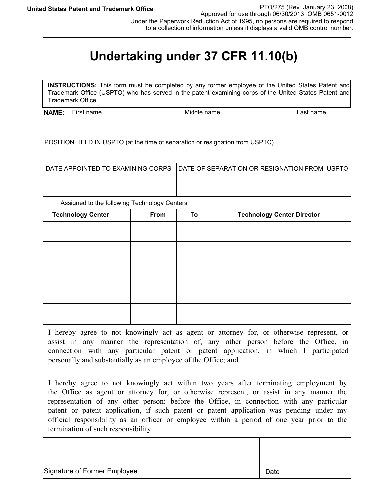|  | Undertaking under 37 CFR 11.10(b) |  |
|--|-----------------------------------|--|
|  |                                   |  |

**INSTRUCTIONS:** This form must be completed by any former employee of the United States Patent and Trademark Office (USPTO) who has served in the patent examining corps of the United States Patent and Trademark Office.

**NAME:** First name Middle name Last name

POSITION HELD IN USPTO (at the time of separation or resignation from USPTO)

| l DATE APPOINTED TO EXAMINING CORPS LDATE OF SEPARATION OR RESIGNATION FROM USPTO. |
|------------------------------------------------------------------------------------|
|                                                                                    |
|                                                                                    |

Assigned to the following Technology Centers

| <b>Technology Center</b> | From | To | <b>Technology Center Director</b> |
|--------------------------|------|----|-----------------------------------|
|                          |      |    |                                   |
|                          |      |    |                                   |
|                          |      |    |                                   |
|                          |      |    |                                   |
|                          |      |    |                                   |

I hereby agree to not knowingly act as agent or attorney for, or otherwise represent, or assist in any manner the representation of, any other person before the Office, in connection with any particular patent or patent application, in which I participated personally and substantially as an employee of the Office; and

I hereby agree to not knowingly act within two years after terminating employment by the Office as agent or attorney for, or otherwise represent, or assist in any manner the representation of any other person: before the Office, in connection with any particular patent or patent application, if such patent or patent application was pending under my official responsibility as an officer or employee within a period of one year prior to the termination of such responsibility.

| Signature of Former Employee | Date |
|------------------------------|------|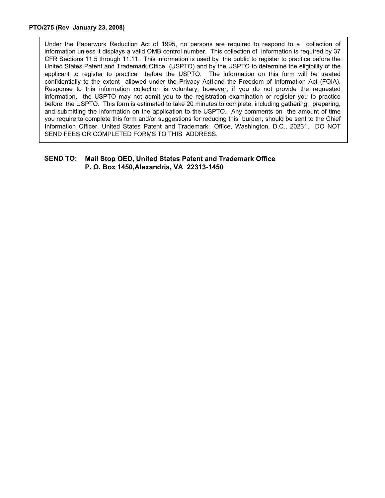Under the Paperwork Reduction Act of 1995, no persons are required to respond to a collection of information unless it displays a valid OMB control number. This collection of information is required by 37 CFR Sections 11.5 through 11.11. This information is used by the public to register to practice before the United States Patent and Trademark Office (USPTO) and by the USPTO to determine the eligibility of the applicant to register to practice before the USPTO. The information on this form will be treated confidentially to the extent allowed under the Privacy Act and the Freedom of Information Act (FOIA). Response to this information collection is voluntary; however, if you do not provide the requested information, the USPTO may not admit you to the registration examination or register you to practice before the USPTO. This form is estimated to take 20 minutes to complete, including gathering, preparing, and submitting the information on the application to the USPTO. Any comments on the amount of time you require to complete this form and/or suggestions for reducing this burden, should be sent to the Chief Information Officer, United States Patent and Trademark Office, Washington, D.C., 20231. DO NOT SEND FEES OR COMPLETED FORMS TO THIS ADDRESS.

#### **SEND TO: Mail Stop OED, United States Patent and Trademark Office P. O. Box 1450,Alexandria, VA 22313-1450**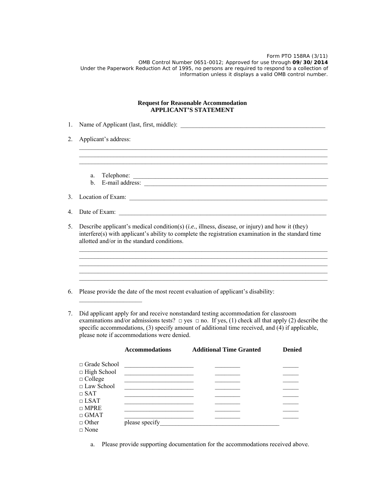OMB Control Number 0651-0012; Approved for use through **09/30/2014** information unless it displays a valid OMB control number.Form PTO 158RA (3/11) Under the Paperwork Reduction Act of 1995, no persons are required to respond to a collection of

 $\_$  ,  $\_$  ,  $\_$  ,  $\_$  ,  $\_$  ,  $\_$  ,  $\_$  ,  $\_$  ,  $\_$  ,  $\_$  ,  $\_$  ,  $\_$  ,  $\_$  ,  $\_$  ,  $\_$  ,  $\_$  ,  $\_$  ,  $\_$  ,  $\_$  ,  $\_$ 

 $\mathcal{L}_\text{max}$ 

#### **Request for Reasonable Accommodation APPLICANT'S STATEMENT**

- 1.Name of Applicant (last, first, middle): \_\_\_\_\_\_\_\_\_\_\_\_\_\_\_\_\_\_\_\_\_\_\_\_\_\_\_\_\_\_\_\_\_\_\_\_\_\_\_\_\_\_\_\_\_\_
- 2.Applicant's address:
	- a. Telephone:  $\Box$

 $\mathcal{L}_\text{max}$ 

- b.E-mail address: \_\_\_\_\_\_\_\_\_\_\_\_\_\_\_\_\_\_\_\_\_\_\_\_\_\_\_\_\_\_\_\_\_\_\_\_\_\_\_\_\_\_\_\_\_\_\_\_\_\_\_\_\_\_\_\_\_\_
- 3. Location of Exam:  $\Box$
- 4. Date of Exam:  $\Box$
- allotted and/or in the standard conditions. 5.Describe applicant's medical condition(s) (*i.e.*, illness, disease, or injury) and how it (they) interfere(s) with applicant's ability to complete the registration examination in the standard time

 $\_$  , and the set of the set of the set of the set of the set of the set of the set of the set of the set of the set of the set of the set of the set of the set of the set of the set of the set of the set of the set of th

 $\_$  , and the set of the set of the set of the set of the set of the set of the set of the set of the set of the set of the set of the set of the set of the set of the set of the set of the set of the set of the set of th

 $\mathcal{L}_\mathcal{L} = \mathcal{L}_\mathcal{L} = \mathcal{L}_\mathcal{L} = \mathcal{L}_\mathcal{L} = \mathcal{L}_\mathcal{L} = \mathcal{L}_\mathcal{L} = \mathcal{L}_\mathcal{L} = \mathcal{L}_\mathcal{L} = \mathcal{L}_\mathcal{L} = \mathcal{L}_\mathcal{L} = \mathcal{L}_\mathcal{L} = \mathcal{L}_\mathcal{L} = \mathcal{L}_\mathcal{L} = \mathcal{L}_\mathcal{L} = \mathcal{L}_\mathcal{L} = \mathcal{L}_\mathcal{L} = \mathcal{L}_\mathcal{L}$ 

- 6.Please provide the date of the most recent evaluation of applicant's disability:
- examinations and/or admissions tests?  $\Box$  yes  $\Box$  no. If yes, (1) check all that apply (2) describe the 7.Did applicant apply for and receive nonstandard testing accommodation for classroom specific accommodations, (3) specify amount of additional time received, and (4) if applicable, please note if accommodations were denied.

|                     | <b>Accommodations</b> | <b>Additional Time Granted</b> | <b>Denied</b> |
|---------------------|-----------------------|--------------------------------|---------------|
| $\Box$ Grade School |                       |                                |               |
| $\Box$ High School  |                       |                                |               |
| $\Box$ College      |                       |                                |               |
| $\Box$ Law School   |                       |                                |               |
| $\sqcap$ SAT        |                       |                                |               |
| $\Box$ LSAT         |                       |                                |               |
| $\Box$ MPRE         |                       |                                |               |
| $\Box$ GMAT         |                       |                                |               |
| $\Box$ Other        | please specify        |                                |               |
| $\Box$ None         |                       |                                |               |

a. Please provide supporting documentation for the accommodations received above.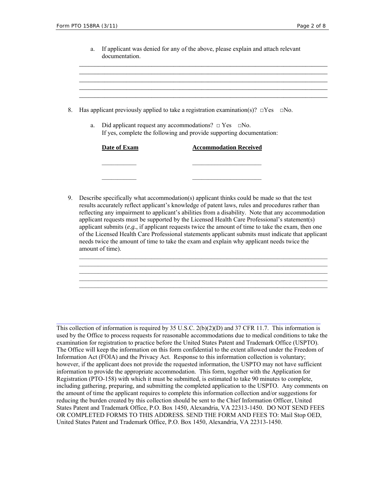|    | a. | documentation. | If applicant was denied for any of the above, please explain and attach relevant                                                        |
|----|----|----------------|-----------------------------------------------------------------------------------------------------------------------------------------|
|    |    |                |                                                                                                                                         |
|    |    |                |                                                                                                                                         |
|    |    |                |                                                                                                                                         |
| 8. |    |                | Has applicant previously applied to take a registration examination(s)? $\square$ Yes $\square$ No.                                     |
|    | a. |                | Did applicant request any accommodations? $\Box$ Yes $\Box$ No.<br>If yes, complete the following and provide supporting documentation: |
|    |    | Date of Exam   | <b>Accommodation Received</b>                                                                                                           |
|    |    |                |                                                                                                                                         |
|    |    |                |                                                                                                                                         |
|    |    |                |                                                                                                                                         |

 results accurately reflect applicant's knowledge of patent laws, rules and procedures rather than applicant submits (*e.g.*, if applicant requests twice the amount of time to take the exam, then one of the Licensed Health Care Professional statements applicant submits must indicate that applicant amount of time).  $\_$  , and the set of the set of the set of the set of the set of the set of the set of the set of the set of the set of the set of the set of the set of the set of the set of the set of the set of the set of the set of th 9.Describe specifically what accommodation(s) applicant thinks could be made so that the test reflecting any impairment to applicant's abilities from a disability. Note that any accommodation applicant requests must be supported by the Licensed Health Care Professional's statement(s) needs twice the amount of time to take the exam and explain why applicant needs twice the

 $\_$  , and the set of the set of the set of the set of the set of the set of the set of the set of the set of the set of the set of the set of the set of the set of the set of the set of the set of the set of the set of th

 $\_$  , and the set of the set of the set of the set of the set of the set of the set of the set of the set of the set of the set of the set of the set of the set of the set of the set of the set of the set of the set of th  $\_$  , and the set of the set of the set of the set of the set of the set of the set of the set of the set of the set of the set of the set of the set of the set of the set of the set of the set of the set of the set of th

examination for registration to practice before the United States Patent and Trademark Office (USPTO). examination for registration to practice before the United States Patent and Trademark Office (USPTO). The Office will keep the information on this form confidential to the extent allowed under the Freedom of States Patent and Trademark Office, P.O. Box 1450, Alexandria, VA 22313-1450. DO NOT SEND FEES This collection of information is required by 35 U.S.C. 2(b)(2)(D) and 37 CFR 11.7. This information is used by the Office to process requests for reasonable accommodations due to medical conditions to take the Information Act (FOIA) and the Privacy Act. Response to this information collection is voluntary; however, if the applicant does not provide the requested information, the USPTO may not have sufficient information to provide the appropriate accommodation. This form, together with the Application for Registration (PTO-158) with which it must be submitted, is estimated to take 90 minutes to complete, including gathering, preparing, and submitting the completed application to the USPTO. Any comments on the amount of time the applicant requires to complete this information collection and/or suggestions for reducing the burden created by this collection should be sent to the Chief Information Officer, United OR COMPLETED FORMS TO THIS ADDRESS. SEND THE FORM AND FEES TO: Mail Stop OED, United States Patent and Trademark Office, P.O. Box 1450, Alexandria, VA 22313-1450.

 $\_$  , and the state of the state of the state of the state of the state of the state of the state of the state of the state of the state of the state of the state of the state of the state of the state of the state of the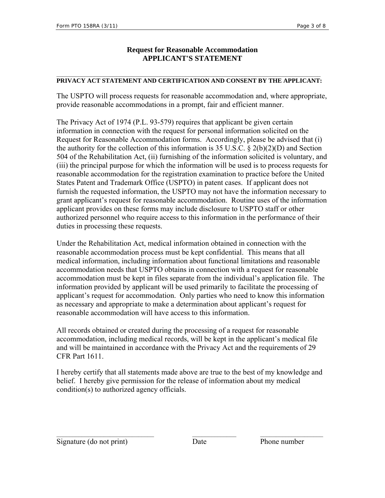# **Request for Reasonable Accommodation APPLICANT'S STATEMENT**

#### $\mathcal{L}_\mathcal{L} = \{ \mathcal{L}_\mathcal{L} = \{ \mathcal{L}_\mathcal{L} = \{ \mathcal{L}_\mathcal{L} = \{ \mathcal{L}_\mathcal{L} = \{ \mathcal{L}_\mathcal{L} = \{ \mathcal{L}_\mathcal{L} = \{ \mathcal{L}_\mathcal{L} = \{ \mathcal{L}_\mathcal{L} = \{ \mathcal{L}_\mathcal{L} = \{ \mathcal{L}_\mathcal{L} = \{ \mathcal{L}_\mathcal{L} = \{ \mathcal{L}_\mathcal{L} = \{ \mathcal{L}_\mathcal{L} = \{ \mathcal{L}_\mathcal{$ **PRIVACY ACT STATEMENT AND CERTIFICATION AND CONSENT BY THE APPLICANT:**

The USPTO will process requests for reasonable accommodation and, where appropriate, provide reasonable accommodations in a prompt, fair and efficient manner.

The Privacy Act of 1974 (P.L. 93-579) requires that applicant be given certain information in connection with the request for personal information solicited on the Request for Reasonable Accommodation forms. Accordingly, please be advised that (i) the authority for the collection of this information is 35 U.S.C.  $\S$  2(b)(2)(D) and Section 504 of the Rehabilitation Act, (ii) furnishing of the information solicited is voluntary, and (iii) the principal purpose for which the information will be used is to process requests for reasonable accommodation for the registration examination to practice before the United States Patent and Trademark Office (USPTO) in patent cases. If applicant does not furnish the requested information, the USPTO may not have the information necessary to grant applicant's request for reasonable accommodation. Routine uses of the information applicant provides on these forms may include disclosure to USPTO staff or other authorized personnel who require access to this information in the performance of their duties in processing these requests.

Under the Rehabilitation Act, medical information obtained in connection with the reasonable accommodation process must be kept confidential. This means that all medical information, including information about functional limitations and reasonable accommodation needs that USPTO obtains in connection with a request for reasonable accommodation must be kept in files separate from the individual's application file. The information provided by applicant will be used primarily to facilitate the processing of applicant's request for accommodation. Only parties who need to know this information as necessary and appropriate to make a determination about applicant's request for reasonable accommodation will have access to this information.

All records obtained or created during the processing of a request for reasonable accommodation, including medical records, will be kept in the applicant's medical file and will be maintained in accordance with the Privacy Act and the requirements of 29 CFR Part 1611.

I hereby certify that all statements made above are true to the best of my knowledge and belief. I hereby give permission for the release of information about my medical condition(s) to authorized agency officials.

 $\overline{\phantom{a}}$  , and the contribution of  $\overline{\phantom{a}}$  , and  $\overline{\phantom{a}}$  , and  $\overline{\phantom{a}}$  , and  $\overline{\phantom{a}}$  , and  $\overline{\phantom{a}}$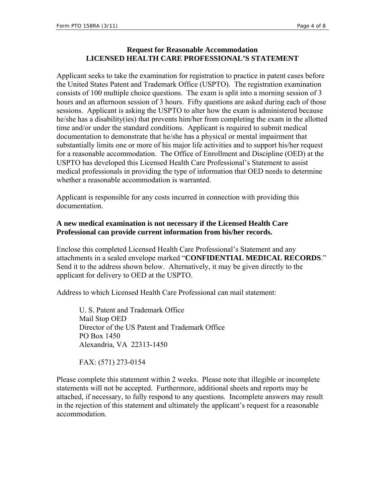# **Request for Reasonable Accommodation LICENSED HEALTH CARE PROFESSIONAL'S STATEMENT**

Applicant seeks to take the examination for registration to practice in patent cases before the United States Patent and Trademark Office (USPTO). The registration examination consists of 100 multiple choice questions. The exam is split into a morning session of 3 hours and an afternoon session of 3 hours. Fifty questions are asked during each of those sessions. Applicant is asking the USPTO to alter how the exam is administered because he/she has a disability(ies) that prevents him/her from completing the exam in the allotted time and/or under the standard conditions. Applicant is required to submit medical documentation to demonstrate that he/she has a physical or mental impairment that substantially limits one or more of his major life activities and to support his/her request for a reasonable accommodation. The Office of Enrollment and Discipline (OED) at the USPTO has developed this Licensed Health Care Professional's Statement to assist medical professionals in providing the type of information that OED needs to determine whether a reasonable accommodation is warranted.

Applicant is responsible for any costs incurred in connection with providing this documentation.

# **A new medical examination is not necessary if the Licensed Health Care Professional can provide current information from his/her records.**

Enclose this completed Licensed Health Care Professional's Statement and any attachments in a sealed envelope marked "**CONFIDENTIAL MEDICAL RECORDS**." Send it to the address shown below. Alternatively, it may be given directly to the applicant for delivery to OED at the USPTO.

Address to which Licensed Health Care Professional can mail statement:

Alexandria, VA 22313-1450<br>FAX: (571) 273-0154 U. S. Patent and Trademark Office Mail Stop OED Director of the US Patent and Trademark Office PO Box 1450

Please complete this statement within 2 weeks. Please note that illegible or incomplete statements will not be accepted. Furthermore, additional sheets and reports may be attached, if necessary, to fully respond to any questions. Incomplete answers may result in the rejection of this statement and ultimately the applicant's request for a reasonable accommodation.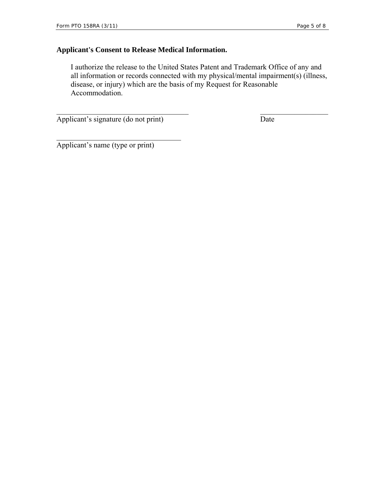# **Applicant's Consent to Release Medical Information.**

I authorize the release to the United States Patent and Trademark Office of any and all information or records connected with my physical/mental impairment(s) (illness, disease, or injury) which are the basis of my Request for Reasonable Accommodation.

 $\mathcal{L}_\text{max}$  , and the contract of the contract of the contract of the contract of the contract of the contract of the contract of the contract of the contract of the contract of the contract of the contract of the contr

Applicant's signature (do not print) Date

 $\mathcal{L}_\text{max}$  , where  $\mathcal{L}_\text{max}$  and  $\mathcal{L}_\text{max}$  and  $\mathcal{L}_\text{max}$ 

Applicant's name (type or print)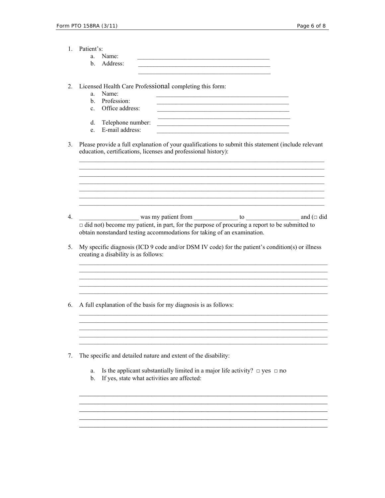| $1_{-}$        | Patient's:<br>Name:<br>a.<br>Address:<br>$\mathbf{b}$ .                                                                                                                                                                                             |
|----------------|-----------------------------------------------------------------------------------------------------------------------------------------------------------------------------------------------------------------------------------------------------|
| 2.             | Licensed Health Care Professional completing this form:<br>Name:<br>a.<br>Profession:<br><sub>b</sub><br>c. Office address:<br><u> 1989 - Johann John Barn, mars eta inperiodor eta inperiodor eta inperiodor eta inperiodor eta inperiodor eta</u> |
|                | d. Telephone number:<br>E-mail address:<br>$e_{-}$<br><u> 1989 - Johann John Stone, mars eta industrial eta industrial eta industrial eta industrial eta industrial eta</u>                                                                         |
| 3 <sub>1</sub> | Please provide a full explanation of your qualifications to submit this statement (include relevant<br>education, certifications, licenses and professional history):                                                                               |
|                |                                                                                                                                                                                                                                                     |
|                |                                                                                                                                                                                                                                                     |
| 4              | $\Box$ did not) become my patient, in part, for the purpose of procuring a report to be submitted to<br>obtain nonstandard testing accommodations for taking of an examination.                                                                     |
| $5_{\cdot}$    | My specific diagnosis (ICD 9 code and/or DSM IV code) for the patient's condition(s) or illness<br>creating a disability is as follows:                                                                                                             |
|                |                                                                                                                                                                                                                                                     |
| 6.             | A full explanation of the basis for my diagnosis is as follows:                                                                                                                                                                                     |
|                |                                                                                                                                                                                                                                                     |
| 7.             | The specific and detailed nature and extent of the disability:                                                                                                                                                                                      |
|                | Is the applicant substantially limited in a major life activity? $\Box$ yes $\Box$ no<br>a.<br>If yes, state what activities are affected:<br>b.                                                                                                    |
|                |                                                                                                                                                                                                                                                     |
|                |                                                                                                                                                                                                                                                     |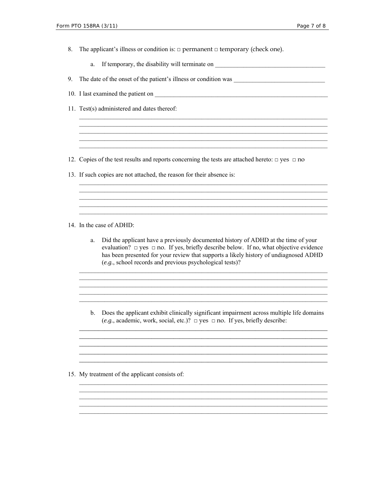- 8. The applicant's illness or condition is:  $\Box$  permanent  $\Box$  temporary (check one).
	- a. If temporary, the disability will terminate on \_\_\_\_\_\_\_\_\_\_\_\_\_\_\_\_\_\_\_\_\_\_\_\_\_\_\_\_\_\_
- 9. The date of the onset of the patient's illness or condition was
- 10. I last examined the patient on
- 11. Test(s) administered and dates thereof:

12. Copies of the test results and reports concerning the tests are attached hereto:  $\Box$  yes  $\Box$  no

13. If such copies are not attached, the reason for their absence is:

- 14. In the case of ADHD:
	- a. Did the applicant have a previously documented history of ADHD at the time of your evaluation?  $\Box$  yes  $\Box$  no. If yes, briefly describe below. If no, what objective evidence has been presented for your review that supports a likely history of undiagnosed ADHD (e.g., school records and previous psychological tests)?

b. Does the applicant exhibit clinically significant impairment across multiple life domains (e.g., academic, work, social, etc.)?  $\Box$  yes  $\Box$  no. If yes, briefly describe:

15. My treatment of the applicant consists of: